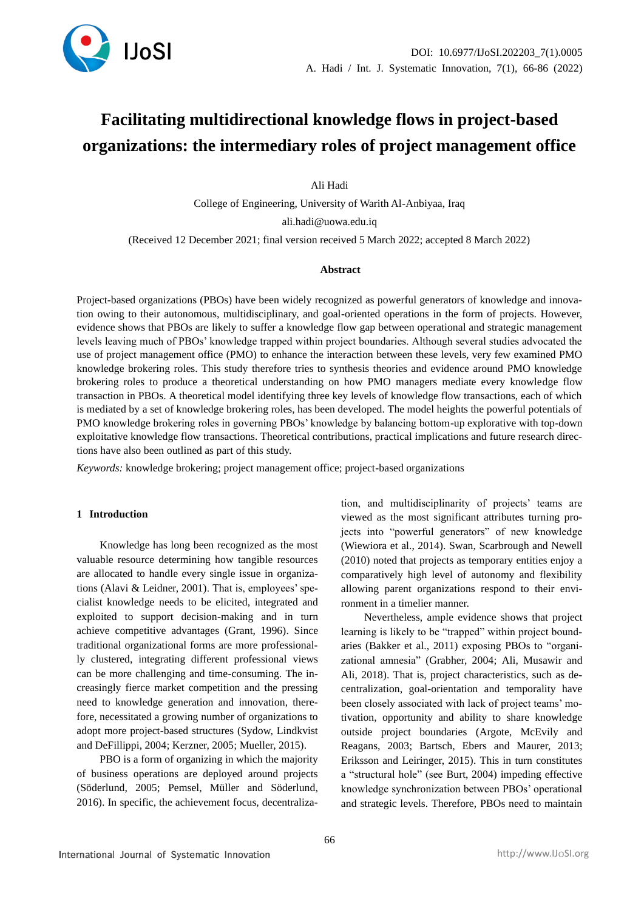

# **Facilitating multidirectional knowledge flows in project-based organizations: the intermediary roles of project management office**

Ali Hadi

College of Engineering, University of Warith Al-Anbiyaa, Iraq ali.hadi@uowa.edu.iq

(Received 12 December 2021; final version received 5 March 2022; accepted 8 March 2022)

#### **Abstract**

Project-based organizations (PBOs) have been widely recognized as powerful generators of knowledge and innovation owing to their autonomous, multidisciplinary, and goal-oriented operations in the form of projects. However, evidence shows that PBOs are likely to suffer a knowledge flow gap between operational and strategic management levels leaving much of PBOs' knowledge trapped within project boundaries. Although several studies advocated the use of project management office (PMO) to enhance the interaction between these levels, very few examined PMO knowledge brokering roles. This study therefore tries to synthesis theories and evidence around PMO knowledge brokering roles to produce a theoretical understanding on how PMO managers mediate every knowledge flow transaction in PBOs. A theoretical model identifying three key levels of knowledge flow transactions, each of which is mediated by a set of knowledge brokering roles, has been developed. The model heights the powerful potentials of PMO knowledge brokering roles in governing PBOs' knowledge by balancing bottom-up explorative with top-down exploitative knowledge flow transactions. Theoretical contributions, practical implications and future research directions have also been outlined as part of this study.

*Keywords:* knowledge brokering; project management office; project-based organizations

### **1 Introduction**

Knowledge has long been recognized as the most valuable resource determining how tangible resources are allocated to handle every single issue in organizations (Alavi & Leidner, 2001). That is, employees' specialist knowledge needs to be elicited, integrated and exploited to support decision-making and in turn achieve competitive advantages (Grant, 1996). Since traditional organizational forms are more professionally clustered, integrating different professional views can be more challenging and time-consuming. The increasingly fierce market competition and the pressing need to knowledge generation and innovation, therefore, necessitated a growing number of organizations to adopt more project-based structures (Sydow, Lindkvist and DeFillippi, 2004; Kerzner, 2005; Mueller, 2015).

PBO is a form of organizing in which the majority of business operations are deployed around projects (Söderlund, 2005; Pemsel, Müller and Söderlund, 2016). In specific, the achievement focus, decentraliza-

tion, and multidisciplinarity of projects' teams are viewed as the most significant attributes turning projects into "powerful generators" of new knowledge (Wiewiora et al., 2014). Swan, Scarbrough and Newell (2010) noted that projects as temporary entities enjoy a comparatively high level of autonomy and flexibility allowing parent organizations respond to their environment in a timelier manner.

Nevertheless, ample evidence shows that project learning is likely to be "trapped" within project boundaries (Bakker et al., 2011) exposing PBOs to "organizational amnesia" (Grabher, 2004; Ali, Musawir and Ali, 2018). That is, project characteristics, such as decentralization, goal-orientation and temporality have been closely associated with lack of project teams' motivation, opportunity and ability to share knowledge outside project boundaries (Argote, McEvily and Reagans, 2003; Bartsch, Ebers and Maurer, 2013; Eriksson and Leiringer, 2015). This in turn constitutes a "structural hole" (see Burt, 2004) impeding effective knowledge synchronization between PBOs' operational and strategic levels. Therefore, PBOs need to maintain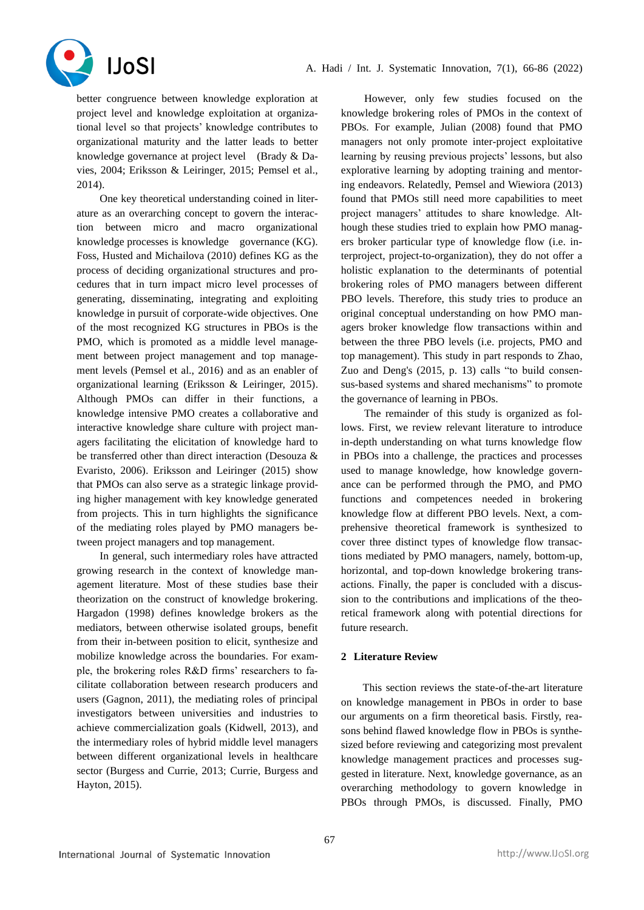

better congruence between knowledge exploration at project level and knowledge exploitation at organizational level so that projects' knowledge contributes to organizational maturity and the latter leads to better knowledge governance at project level (Brady & Davies, 2004; Eriksson & Leiringer, 2015; Pemsel et al., 2014).

One key theoretical understanding coined in literature as an overarching concept to govern the interaction between micro and macro organizational knowledge processes is knowledge governance (KG). Foss, Husted and Michailova (2010) defines KG as the process of deciding organizational structures and procedures that in turn impact micro level processes of generating, disseminating, integrating and exploiting knowledge in pursuit of corporate-wide objectives. One of the most recognized KG structures in PBOs is the PMO, which is promoted as a middle level management between project management and top management levels (Pemsel et al., 2016) and as an enabler of organizational learning (Eriksson & Leiringer, 2015). Although PMOs can differ in their functions, a knowledge intensive PMO creates a collaborative and interactive knowledge share culture with project managers facilitating the elicitation of knowledge hard to be transferred other than direct interaction (Desouza & Evaristo, 2006). Eriksson and Leiringer (2015) show that PMOs can also serve as a strategic linkage providing higher management with key knowledge generated from projects. This in turn highlights the significance of the mediating roles played by PMO managers between project managers and top management.

In general, such intermediary roles have attracted growing research in the context of knowledge management literature. Most of these studies base their theorization on the construct of knowledge brokering. Hargadon (1998) defines knowledge brokers as the mediators, between otherwise isolated groups, benefit from their in-between position to elicit, synthesize and mobilize knowledge across the boundaries. For example, the brokering roles R&D firms' researchers to facilitate collaboration between research producers and users (Gagnon, 2011), the mediating roles of principal investigators between universities and industries to achieve commercialization goals (Kidwell, 2013), and the intermediary roles of hybrid middle level managers between different organizational levels in healthcare sector (Burgess and Currie, 2013; Currie, Burgess and Hayton, 2015).

However, only few studies focused on the knowledge brokering roles of PMOs in the context of PBOs. For example, Julian (2008) found that PMO managers not only promote inter-project exploitative learning by reusing previous projects' lessons, but also explorative learning by adopting training and mentoring endeavors. Relatedly, Pemsel and Wiewiora (2013) found that PMOs still need more capabilities to meet project managers' attitudes to share knowledge. Although these studies tried to explain how PMO managers broker particular type of knowledge flow (i.e. interproject, project-to-organization), they do not offer a holistic explanation to the determinants of potential brokering roles of PMO managers between different PBO levels. Therefore, this study tries to produce an original conceptual understanding on how PMO managers broker knowledge flow transactions within and between the three PBO levels (i.e. projects, PMO and top management). This study in part responds to Zhao, Zuo and Deng's (2015, p. 13) calls "to build consensus-based systems and shared mechanisms" to promote the governance of learning in PBOs.

The remainder of this study is organized as follows. First, we review relevant literature to introduce in-depth understanding on what turns knowledge flow in PBOs into a challenge, the practices and processes used to manage knowledge, how knowledge governance can be performed through the PMO, and PMO functions and competences needed in brokering knowledge flow at different PBO levels. Next, a comprehensive theoretical framework is synthesized to cover three distinct types of knowledge flow transactions mediated by PMO managers, namely, bottom-up, horizontal, and top-down knowledge brokering transactions. Finally, the paper is concluded with a discussion to the contributions and implications of the theoretical framework along with potential directions for future research.

## **2 Literature Review**

This section reviews the state-of-the-art literature on knowledge management in PBOs in order to base our arguments on a firm theoretical basis. Firstly, reasons behind flawed knowledge flow in PBOs is synthesized before reviewing and categorizing most prevalent knowledge management practices and processes suggested in literature. Next, knowledge governance, as an overarching methodology to govern knowledge in PBOs through PMOs, is discussed. Finally, PMO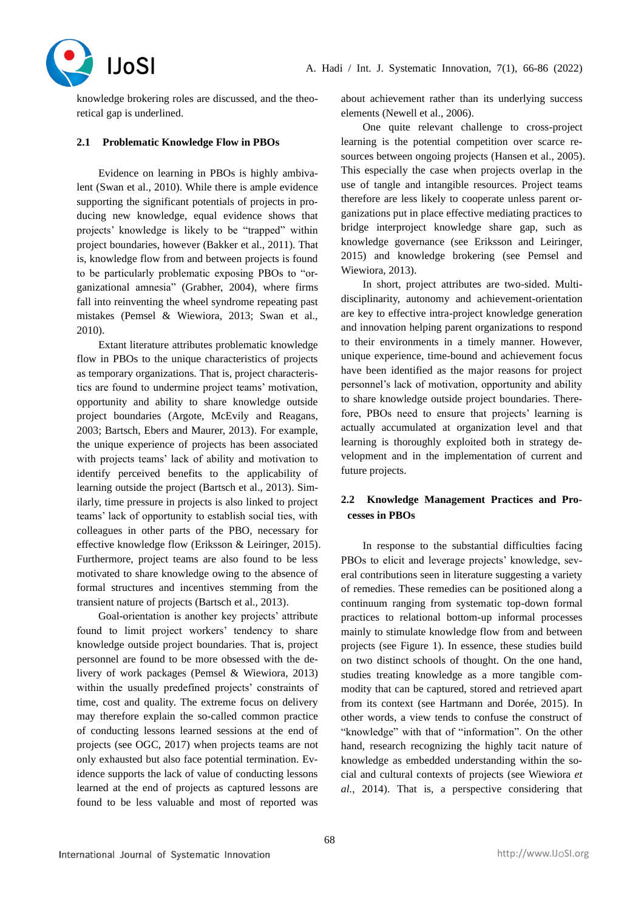

knowledge brokering roles are discussed, and the theoretical gap is underlined.

### **2.1 Problematic Knowledge Flow in PBOs**

Evidence on learning in PBOs is highly ambivalent (Swan et al., 2010). While there is ample evidence supporting the significant potentials of projects in producing new knowledge, equal evidence shows that projects' knowledge is likely to be "trapped" within project boundaries, however (Bakker et al., 2011). That is, knowledge flow from and between projects is found to be particularly problematic exposing PBOs to "organizational amnesia" (Grabher, 2004), where firms fall into reinventing the wheel syndrome repeating past mistakes (Pemsel & Wiewiora, 2013; Swan et al., 2010).

Extant literature attributes problematic knowledge flow in PBOs to the unique characteristics of projects as temporary organizations. That is, project characteristics are found to undermine project teams' motivation, opportunity and ability to share knowledge outside project boundaries (Argote, McEvily and Reagans, 2003; Bartsch, Ebers and Maurer, 2013). For example, the unique experience of projects has been associated with projects teams' lack of ability and motivation to identify perceived benefits to the applicability of learning outside the project (Bartsch et al., 2013). Similarly, time pressure in projects is also linked to project teams' lack of opportunity to establish social ties, with colleagues in other parts of the PBO, necessary for effective knowledge flow (Eriksson & Leiringer, 2015). Furthermore, project teams are also found to be less motivated to share knowledge owing to the absence of formal structures and incentives stemming from the transient nature of projects (Bartsch et al., 2013).

Goal-orientation is another key projects' attribute found to limit project workers' tendency to share knowledge outside project boundaries. That is, project personnel are found to be more obsessed with the delivery of work packages (Pemsel & Wiewiora, 2013) within the usually predefined projects' constraints of time, cost and quality. The extreme focus on delivery may therefore explain the so-called common practice of conducting lessons learned sessions at the end of projects (see OGC, 2017) when projects teams are not only exhausted but also face potential termination. Evidence supports the lack of value of conducting lessons learned at the end of projects as captured lessons are found to be less valuable and most of reported was

about achievement rather than its underlying success elements (Newell et al., 2006).

One quite relevant challenge to cross-project learning is the potential competition over scarce resources between ongoing projects (Hansen et al., 2005). This especially the case when projects overlap in the use of tangle and intangible resources. Project teams therefore are less likely to cooperate unless parent organizations put in place effective mediating practices to bridge interproject knowledge share gap, such as knowledge governance (see Eriksson and Leiringer, 2015) and knowledge brokering (see Pemsel and Wiewiora, 2013).

In short, project attributes are two-sided. Multidisciplinarity, autonomy and achievement-orientation are key to effective intra-project knowledge generation and innovation helping parent organizations to respond to their environments in a timely manner. However, unique experience, time-bound and achievement focus have been identified as the major reasons for project personnel's lack of motivation, opportunity and ability to share knowledge outside project boundaries. Therefore, PBOs need to ensure that projects' learning is actually accumulated at organization level and that learning is thoroughly exploited both in strategy development and in the implementation of current and future projects.

## **2.2 Knowledge Management Practices and Processes in PBOs**

In response to the substantial difficulties facing PBOs to elicit and leverage projects' knowledge, several contributions seen in literature suggesting a variety of remedies. These remedies can be positioned along a continuum ranging from systematic top-down formal practices to relational bottom-up informal processes mainly to stimulate knowledge flow from and between projects (see Figure 1). In essence, these studies build on two distinct schools of thought. On the one hand, studies treating knowledge as a more tangible commodity that can be captured, stored and retrieved apart from its context (see Hartmann and Dorée, 2015). In other words, a view tends to confuse the construct of "knowledge" with that of "information". On the other hand, research recognizing the highly tacit nature of knowledge as embedded understanding within the social and cultural contexts of projects (see Wiewiora *et al.*, 2014). That is, a perspective considering that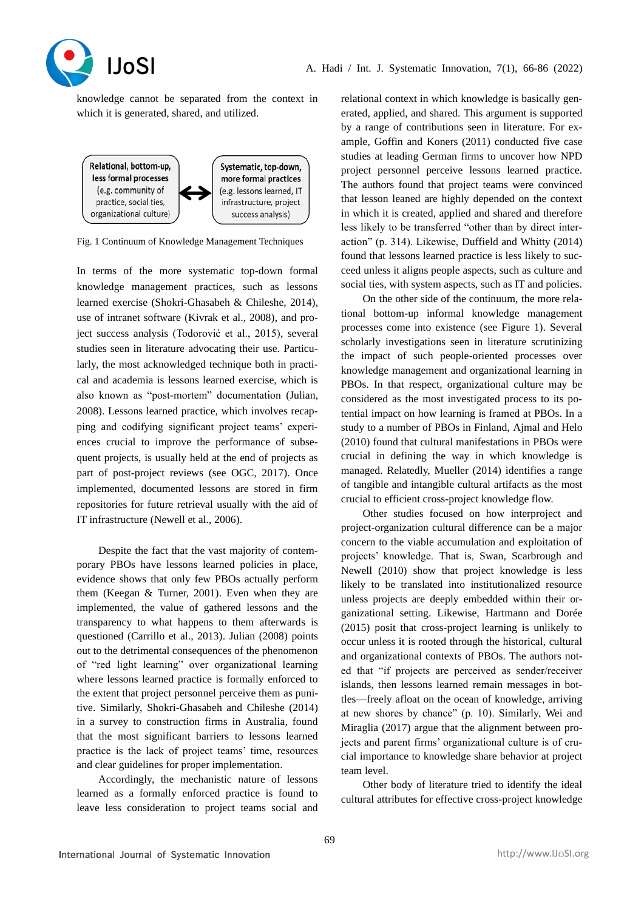



knowledge cannot be separated from the context in which it is generated, shared, and utilized.



Fig. 1 Continuum of Knowledge Management Techniques

In terms of the more systematic top-down formal knowledge management practices, such as lessons learned exercise (Shokri-Ghasabeh & Chileshe, 2014), use of intranet software (Kivrak et al., 2008), and project success analysis (Todorović et al., 2015), several studies seen in literature advocating their use. Particularly, the most acknowledged technique both in practical and academia is lessons learned exercise, which is also known as "post-mortem" documentation (Julian, 2008). Lessons learned practice, which involves recapping and codifying significant project teams' experiences crucial to improve the performance of subsequent projects, is usually held at the end of projects as part of post-project reviews (see OGC, 2017). Once implemented, documented lessons are stored in firm repositories for future retrieval usually with the aid of IT infrastructure (Newell et al., 2006).

Despite the fact that the vast majority of contemporary PBOs have lessons learned policies in place, evidence shows that only few PBOs actually perform them (Keegan & Turner, 2001). Even when they are implemented, the value of gathered lessons and the transparency to what happens to them afterwards is questioned (Carrillo et al., 2013). Julian (2008) points out to the detrimental consequences of the phenomenon of "red light learning" over organizational learning where lessons learned practice is formally enforced to the extent that project personnel perceive them as punitive. Similarly, Shokri-Ghasabeh and Chileshe (2014) in a survey to construction firms in Australia, found that the most significant barriers to lessons learned practice is the lack of project teams' time, resources and clear guidelines for proper implementation.

Accordingly, the mechanistic nature of lessons learned as a formally enforced practice is found to leave less consideration to project teams social and

relational context in which knowledge is basically generated, applied, and shared. This argument is supported by a range of contributions seen in literature. For example, Goffin and Koners (2011) conducted five case studies at leading German firms to uncover how NPD project personnel perceive lessons learned practice. The authors found that project teams were convinced that lesson leaned are highly depended on the context in which it is created, applied and shared and therefore less likely to be transferred "other than by direct interaction" (p. 314). Likewise, Duffield and Whitty (2014) found that lessons learned practice is less likely to succeed unless it aligns people aspects, such as culture and social ties, with system aspects, such as IT and policies.

On the other side of the continuum, the more relational bottom-up informal knowledge management processes come into existence (see Figure 1). Several scholarly investigations seen in literature scrutinizing the impact of such people-oriented processes over knowledge management and organizational learning in PBOs. In that respect, organizational culture may be considered as the most investigated process to its potential impact on how learning is framed at PBOs. In a study to a number of PBOs in Finland, Ajmal and Helo (2010) found that cultural manifestations in PBOs were crucial in defining the way in which knowledge is managed. Relatedly, Mueller (2014) identifies a range of tangible and intangible cultural artifacts as the most crucial to efficient cross-project knowledge flow.

Other studies focused on how interproject and project-organization cultural difference can be a major concern to the viable accumulation and exploitation of projects' knowledge. That is, Swan, Scarbrough and Newell (2010) show that project knowledge is less likely to be translated into institutionalized resource unless projects are deeply embedded within their organizational setting. Likewise, Hartmann and Dorée (2015) posit that cross-project learning is unlikely to occur unless it is rooted through the historical, cultural and organizational contexts of PBOs. The authors noted that "if projects are perceived as sender/receiver islands, then lessons learned remain messages in bottles—freely afloat on the ocean of knowledge, arriving at new shores by chance" (p. 10). Similarly, Wei and Miraglia (2017) argue that the alignment between projects and parent firms' organizational culture is of crucial importance to knowledge share behavior at project team level.

Other body of literature tried to identify the ideal cultural attributes for effective cross-project knowledge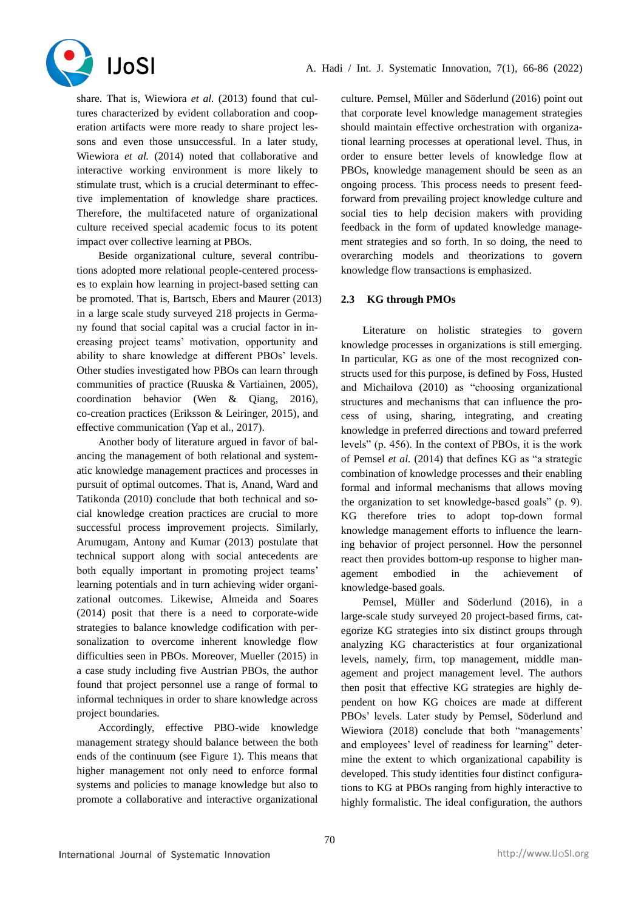

share. That is, Wiewiora *et al.* (2013) found that cultures characterized by evident collaboration and cooperation artifacts were more ready to share project lessons and even those unsuccessful. In a later study, Wiewiora *et al.* (2014) noted that collaborative and interactive working environment is more likely to stimulate trust, which is a crucial determinant to effective implementation of knowledge share practices. Therefore, the multifaceted nature of organizational culture received special academic focus to its potent impact over collective learning at PBOs.

Beside organizational culture, several contributions adopted more relational people-centered processes to explain how learning in project-based setting can be promoted. That is, Bartsch, Ebers and Maurer (2013) in a large scale study surveyed 218 projects in Germany found that social capital was a crucial factor in increasing project teams' motivation, opportunity and ability to share knowledge at different PBOs' levels. Other studies investigated how PBOs can learn through communities of practice (Ruuska & Vartiainen, 2005), coordination behavior (Wen & Qiang, 2016), co-creation practices (Eriksson & Leiringer, 2015), and effective communication (Yap et al., 2017).

Another body of literature argued in favor of balancing the management of both relational and systematic knowledge management practices and processes in pursuit of optimal outcomes. That is, Anand, Ward and Tatikonda (2010) conclude that both technical and social knowledge creation practices are crucial to more successful process improvement projects. Similarly, Arumugam, Antony and Kumar (2013) postulate that technical support along with social antecedents are both equally important in promoting project teams' learning potentials and in turn achieving wider organizational outcomes. Likewise, Almeida and Soares (2014) posit that there is a need to corporate-wide strategies to balance knowledge codification with personalization to overcome inherent knowledge flow difficulties seen in PBOs. Moreover, Mueller (2015) in a case study including five Austrian PBOs, the author found that project personnel use a range of formal to informal techniques in order to share knowledge across project boundaries.

Accordingly, effective PBO-wide knowledge management strategy should balance between the both ends of the continuum (see Figure 1). This means that higher management not only need to enforce formal systems and policies to manage knowledge but also to promote a collaborative and interactive organizational

culture. Pemsel, Müller and Söderlund (2016) point out that corporate level knowledge management strategies should maintain effective orchestration with organizational learning processes at operational level. Thus, in order to ensure better levels of knowledge flow at PBOs, knowledge management should be seen as an ongoing process. This process needs to present feedforward from prevailing project knowledge culture and social ties to help decision makers with providing feedback in the form of updated knowledge management strategies and so forth. In so doing, the need to overarching models and theorizations to govern knowledge flow transactions is emphasized.

## **2.3 KG through PMOs**

Literature on holistic strategies to govern knowledge processes in organizations is still emerging. In particular, KG as one of the most recognized constructs used for this purpose, is defined by Foss, Husted and Michailova (2010) as "choosing organizational structures and mechanisms that can influence the process of using, sharing, integrating, and creating knowledge in preferred directions and toward preferred levels" (p. 456). In the context of PBOs, it is the work of Pemsel *et al.* (2014) that defines KG as "a strategic combination of knowledge processes and their enabling formal and informal mechanisms that allows moving the organization to set knowledge-based goals" (p. 9). KG therefore tries to adopt top-down formal knowledge management efforts to influence the learning behavior of project personnel. How the personnel react then provides bottom-up response to higher management embodied in the achievement of knowledge-based goals.

Pemsel, Müller and Söderlund (2016), in a large-scale study surveyed 20 project-based firms, categorize KG strategies into six distinct groups through analyzing KG characteristics at four organizational levels, namely, firm, top management, middle management and project management level. The authors then posit that effective KG strategies are highly dependent on how KG choices are made at different PBOs' levels. Later study by Pemsel, Söderlund and Wiewiora (2018) conclude that both "managements' and employees' level of readiness for learning" determine the extent to which organizational capability is developed. This study identities four distinct configurations to KG at PBOs ranging from highly interactive to highly formalistic. The ideal configuration, the authors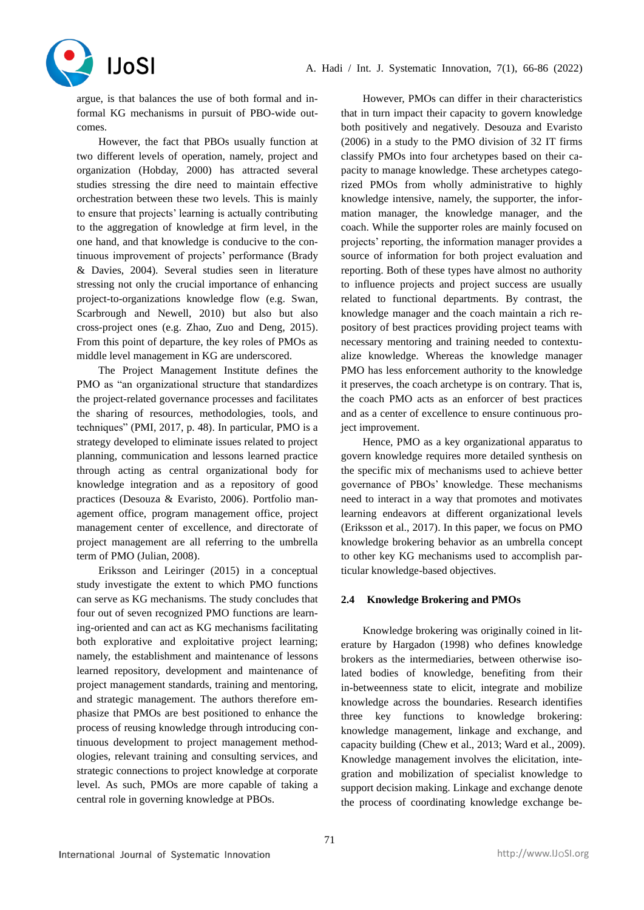

argue, is that balances the use of both formal and informal KG mechanisms in pursuit of PBO-wide outcomes.

However, the fact that PBOs usually function at two different levels of operation, namely, project and organization (Hobday, 2000) has attracted several studies stressing the dire need to maintain effective orchestration between these two levels. This is mainly to ensure that projects' learning is actually contributing to the aggregation of knowledge at firm level, in the one hand, and that knowledge is conducive to the continuous improvement of projects' performance (Brady & Davies, 2004). Several studies seen in literature stressing not only the crucial importance of enhancing project-to-organizations knowledge flow (e.g. Swan, Scarbrough and Newell, 2010) but also but also cross-project ones (e.g. Zhao, Zuo and Deng, 2015). From this point of departure, the key roles of PMOs as middle level management in KG are underscored.

The Project Management Institute defines the PMO as "an organizational structure that standardizes the project-related governance processes and facilitates the sharing of resources, methodologies, tools, and techniques" (PMI, 2017, p. 48). In particular, PMO is a strategy developed to eliminate issues related to project planning, communication and lessons learned practice through acting as central organizational body for knowledge integration and as a repository of good practices (Desouza & Evaristo, 2006). Portfolio management office, program management office, project management center of excellence, and directorate of project management are all referring to the umbrella term of PMO (Julian, 2008).

Eriksson and Leiringer (2015) in a conceptual study investigate the extent to which PMO functions can serve as KG mechanisms. The study concludes that four out of seven recognized PMO functions are learning-oriented and can act as KG mechanisms facilitating both explorative and exploitative project learning; namely, the establishment and maintenance of lessons learned repository, development and maintenance of project management standards, training and mentoring, and strategic management. The authors therefore emphasize that PMOs are best positioned to enhance the process of reusing knowledge through introducing continuous development to project management methodologies, relevant training and consulting services, and strategic connections to project knowledge at corporate level. As such, PMOs are more capable of taking a central role in governing knowledge at PBOs.

However, PMOs can differ in their characteristics that in turn impact their capacity to govern knowledge both positively and negatively. Desouza and Evaristo (2006) in a study to the PMO division of 32 IT firms classify PMOs into four archetypes based on their capacity to manage knowledge. These archetypes categorized PMOs from wholly administrative to highly knowledge intensive, namely, the supporter, the information manager, the knowledge manager, and the coach. While the supporter roles are mainly focused on projects' reporting, the information manager provides a source of information for both project evaluation and reporting. Both of these types have almost no authority to influence projects and project success are usually related to functional departments. By contrast, the knowledge manager and the coach maintain a rich repository of best practices providing project teams with necessary mentoring and training needed to contextualize knowledge. Whereas the knowledge manager PMO has less enforcement authority to the knowledge it preserves, the coach archetype is on contrary. That is, the coach PMO acts as an enforcer of best practices and as a center of excellence to ensure continuous project improvement.

Hence, PMO as a key organizational apparatus to govern knowledge requires more detailed synthesis on the specific mix of mechanisms used to achieve better governance of PBOs' knowledge. These mechanisms need to interact in a way that promotes and motivates learning endeavors at different organizational levels (Eriksson et al., 2017). In this paper, we focus on PMO knowledge brokering behavior as an umbrella concept to other key KG mechanisms used to accomplish particular knowledge-based objectives.

## **2.4 Knowledge Brokering and PMOs**

Knowledge brokering was originally coined in literature by Hargadon (1998) who defines knowledge brokers as the intermediaries, between otherwise isolated bodies of knowledge, benefiting from their in-betweenness state to elicit, integrate and mobilize knowledge across the boundaries. Research identifies three key functions to knowledge brokering: knowledge management, linkage and exchange, and capacity building (Chew et al., 2013; Ward et al., 2009). Knowledge management involves the elicitation, integration and mobilization of specialist knowledge to support decision making. Linkage and exchange denote the process of coordinating knowledge exchange be-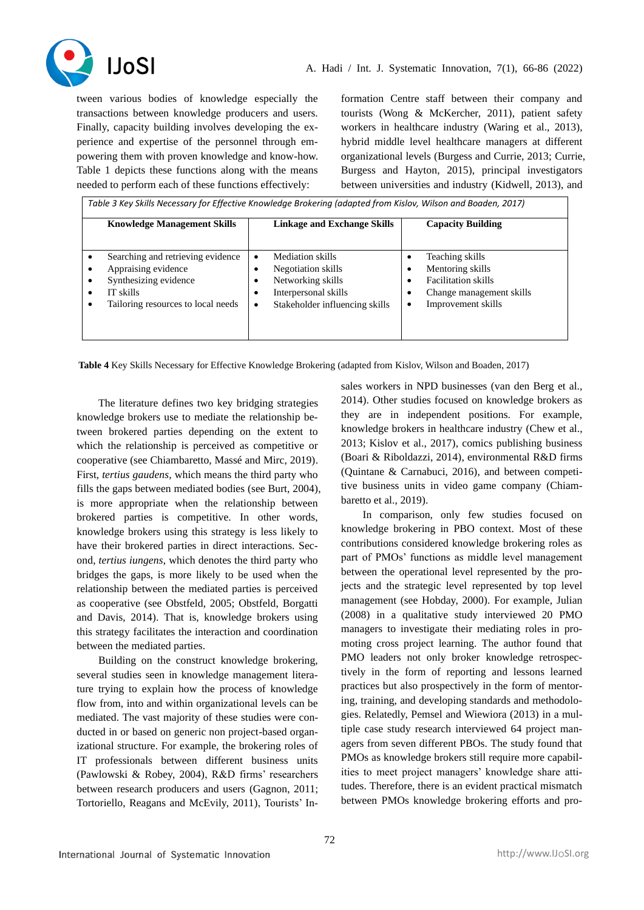

tween various bodies of knowledge especially the transactions between knowledge producers and users. Finally, capacity building involves developing the experience and expertise of the personnel through empowering them with proven knowledge and know-how. Table 1 depicts these functions along with the means needed to perform each of these functions effectively:

formation Centre staff between their company and tourists (Wong & McKercher, 2011), patient safety workers in healthcare industry (Waring et al., 2013), hybrid middle level healthcare managers at different organizational levels (Burgess and Currie, 2013; Currie, Burgess and Hayton, 2015), principal investigators between universities and industry (Kidwell, 2013), and

*Table 3 Key Skills Necessary for Effective Knowledge Brokering (adapted from Kislov, Wilson and Boaden, 2017)* **Knowledge Management Skills Linkage and Exchange Skills Capacity Building** • Searching and retrieving evidence • Appraising evidence Synthesizing evidence IT skills • Tailoring resources to local needs • Mediation skills • Negotiation skills Networking skills • Interpersonal skills Stakeholder influencing skills • Teaching skills • Mentoring skills • Facilitation skills • Change management skills • Improvement skills

**Table 4** Key Skills Necessary for Effective Knowledge Brokering (adapted from Kislov, Wilson and Boaden, 2017)

The literature defines two key bridging strategies knowledge brokers use to mediate the relationship between brokered parties depending on the extent to which the relationship is perceived as competitive or cooperative (see Chiambaretto, Massé and Mirc, 2019). First, *tertius gaudens*, which means the third party who fills the gaps between mediated bodies (see Burt, 2004), is more appropriate when the relationship between brokered parties is competitive. In other words, knowledge brokers using this strategy is less likely to have their brokered parties in direct interactions. Second, *tertius iungens*, which denotes the third party who bridges the gaps, is more likely to be used when the relationship between the mediated parties is perceived as cooperative (see Obstfeld, 2005; Obstfeld, Borgatti and Davis, 2014). That is, knowledge brokers using this strategy facilitates the interaction and coordination between the mediated parties.

Building on the construct knowledge brokering, several studies seen in knowledge management literature trying to explain how the process of knowledge flow from, into and within organizational levels can be mediated. The vast majority of these studies were conducted in or based on generic non project-based organizational structure. For example, the brokering roles of IT professionals between different business units (Pawlowski & Robey, 2004), R&D firms' researchers between research producers and users (Gagnon, 2011; Tortoriello, Reagans and McEvily, 2011), Tourists' Insales workers in NPD businesses (van den Berg et al., 2014). Other studies focused on knowledge brokers as they are in independent positions. For example, knowledge brokers in healthcare industry (Chew et al., 2013; Kislov et al., 2017), comics publishing business (Boari & Riboldazzi, 2014), environmental R&D firms (Quintane & Carnabuci, 2016), and between competitive business units in video game company (Chiambaretto et al., 2019).

In comparison, only few studies focused on knowledge brokering in PBO context. Most of these contributions considered knowledge brokering roles as part of PMOs' functions as middle level management between the operational level represented by the projects and the strategic level represented by top level management (see Hobday, 2000). For example, Julian (2008) in a qualitative study interviewed 20 PMO managers to investigate their mediating roles in promoting cross project learning. The author found that PMO leaders not only broker knowledge retrospectively in the form of reporting and lessons learned practices but also prospectively in the form of mentoring, training, and developing standards and methodologies. Relatedly, Pemsel and Wiewiora (2013) in a multiple case study research interviewed 64 project managers from seven different PBOs. The study found that PMOs as knowledge brokers still require more capabilities to meet project managers' knowledge share attitudes. Therefore, there is an evident practical mismatch between PMOs knowledge brokering efforts and pro-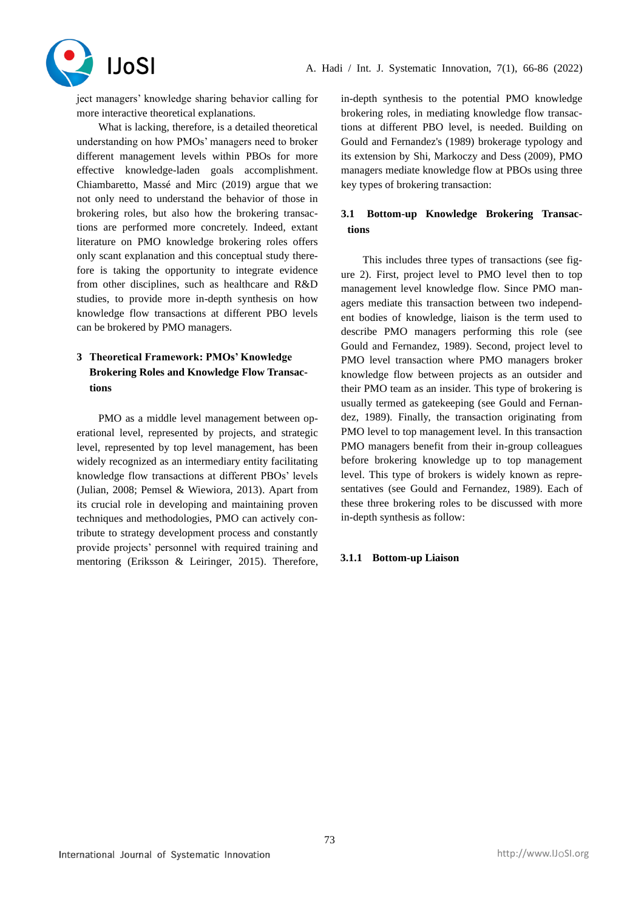

ject managers' knowledge sharing behavior calling for more interactive theoretical explanations.

What is lacking, therefore, is a detailed theoretical understanding on how PMOs' managers need to broker different management levels within PBOs for more effective knowledge-laden goals accomplishment. Chiambaretto, Massé and Mirc (2019) argue that we not only need to understand the behavior of those in brokering roles, but also how the brokering transactions are performed more concretely. Indeed, extant literature on PMO knowledge brokering roles offers only scant explanation and this conceptual study therefore is taking the opportunity to integrate evidence from other disciplines, such as healthcare and R&D studies, to provide more in-depth synthesis on how knowledge flow transactions at different PBO levels can be brokered by PMO managers.

# **3 Theoretical Framework: PMOs' Knowledge Brokering Roles and Knowledge Flow Transactions**

PMO as a middle level management between operational level, represented by projects, and strategic level, represented by top level management, has been widely recognized as an intermediary entity facilitating knowledge flow transactions at different PBOs' levels (Julian, 2008; Pemsel & Wiewiora, 2013). Apart from its crucial role in developing and maintaining proven techniques and methodologies, PMO can actively contribute to strategy development process and constantly provide projects' personnel with required training and mentoring (Eriksson & Leiringer, 2015). Therefore, in-depth synthesis to the potential PMO knowledge brokering roles, in mediating knowledge flow transactions at different PBO level, is needed. Building on Gould and Fernandez's (1989) brokerage typology and its extension by Shi, Markoczy and Dess (2009), PMO managers mediate knowledge flow at PBOs using three key types of brokering transaction:

# **3.1 Bottom-up Knowledge Brokering Transactions**

This includes three types of transactions (see figure 2). First, project level to PMO level then to top management level knowledge flow. Since PMO managers mediate this transaction between two independent bodies of knowledge, liaison is the term used to describe PMO managers performing this role (see Gould and Fernandez, 1989). Second, project level to PMO level transaction where PMO managers broker knowledge flow between projects as an outsider and their PMO team as an insider. This type of brokering is usually termed as gatekeeping (see Gould and Fernandez, 1989). Finally, the transaction originating from PMO level to top management level. In this transaction PMO managers benefit from their in-group colleagues before brokering knowledge up to top management level. This type of brokers is widely known as representatives (see Gould and Fernandez, 1989). Each of these three brokering roles to be discussed with more in-depth synthesis as follow:

## **3.1.1 Bottom-up Liaison**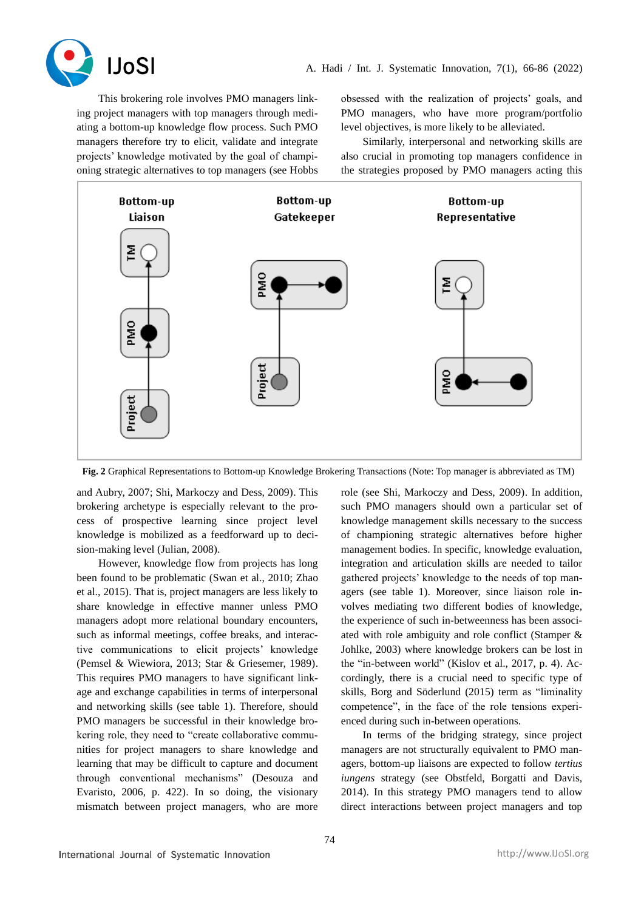

This brokering role involves PMO managers linking project managers with top managers through mediating a bottom-up knowledge flow process. Such PMO managers therefore try to elicit, validate and integrate projects' knowledge motivated by the goal of championing strategic alternatives to top managers (see Hobbs

obsessed with the realization of projects' goals, and PMO managers, who have more program/portfolio level objectives, is more likely to be alleviated.

Similarly, interpersonal and networking skills are also crucial in promoting top managers confidence in the strategies proposed by PMO managers acting this



**Fig. 2** Graphical Representations to Bottom-up Knowledge Brokering Transactions (Note: Top manager is abbreviated as TM)

and Aubry, 2007; Shi, Markoczy and Dess, 2009). This brokering archetype is especially relevant to the process of prospective learning since project level knowledge is mobilized as a feedforward up to decision-making level (Julian, 2008).

However, knowledge flow from projects has long been found to be problematic (Swan et al., 2010; Zhao et al., 2015). That is, project managers are less likely to share knowledge in effective manner unless PMO managers adopt more relational boundary encounters, such as informal meetings, coffee breaks, and interactive communications to elicit projects' knowledge (Pemsel & Wiewiora, 2013; Star & Griesemer, 1989). This requires PMO managers to have significant linkage and exchange capabilities in terms of interpersonal and networking skills (see table 1). Therefore, should PMO managers be successful in their knowledge brokering role, they need to "create collaborative communities for project managers to share knowledge and learning that may be difficult to capture and document through conventional mechanisms" (Desouza and Evaristo, 2006, p. 422). In so doing, the visionary mismatch between project managers, who are more

role (see Shi, Markoczy and Dess, 2009). In addition, such PMO managers should own a particular set of knowledge management skills necessary to the success of championing strategic alternatives before higher management bodies. In specific, knowledge evaluation, integration and articulation skills are needed to tailor gathered projects' knowledge to the needs of top managers (see table 1). Moreover, since liaison role involves mediating two different bodies of knowledge, the experience of such in-betweenness has been associated with role ambiguity and role conflict (Stamper & Johlke, 2003) where knowledge brokers can be lost in the "in-between world" (Kislov et al., 2017, p. 4). Accordingly, there is a crucial need to specific type of skills, Borg and Söderlund (2015) term as "liminality competence", in the face of the role tensions experienced during such in-between operations.

In terms of the bridging strategy, since project managers are not structurally equivalent to PMO managers, bottom-up liaisons are expected to follow *tertius iungens* strategy (see Obstfeld, Borgatti and Davis, 2014). In this strategy PMO managers tend to allow direct interactions between project managers and top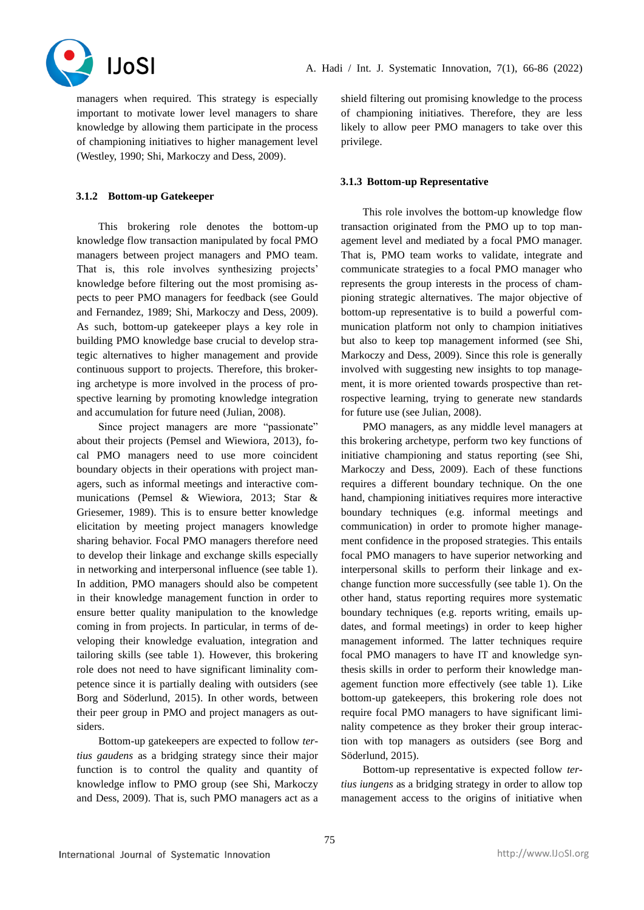

managers when required. This strategy is especially important to motivate lower level managers to share knowledge by allowing them participate in the process of championing initiatives to higher management level (Westley, 1990; Shi, Markoczy and Dess, 2009).

## **3.1.2 Bottom-up Gatekeeper**

This brokering role denotes the bottom-up knowledge flow transaction manipulated by focal PMO managers between project managers and PMO team. That is, this role involves synthesizing projects' knowledge before filtering out the most promising aspects to peer PMO managers for feedback (see Gould and Fernandez, 1989; Shi, Markoczy and Dess, 2009). As such, bottom-up gatekeeper plays a key role in building PMO knowledge base crucial to develop strategic alternatives to higher management and provide continuous support to projects. Therefore, this brokering archetype is more involved in the process of prospective learning by promoting knowledge integration and accumulation for future need (Julian, 2008).

Since project managers are more "passionate" about their projects (Pemsel and Wiewiora, 2013), focal PMO managers need to use more coincident boundary objects in their operations with project managers, such as informal meetings and interactive communications (Pemsel & Wiewiora, 2013; Star & Griesemer, 1989). This is to ensure better knowledge elicitation by meeting project managers knowledge sharing behavior. Focal PMO managers therefore need to develop their linkage and exchange skills especially in networking and interpersonal influence (see table 1). In addition, PMO managers should also be competent in their knowledge management function in order to ensure better quality manipulation to the knowledge coming in from projects. In particular, in terms of developing their knowledge evaluation, integration and tailoring skills (see table 1). However, this brokering role does not need to have significant liminality competence since it is partially dealing with outsiders (see Borg and Söderlund, 2015). In other words, between their peer group in PMO and project managers as outsiders.

Bottom-up gatekeepers are expected to follow *tertius gaudens* as a bridging strategy since their major function is to control the quality and quantity of knowledge inflow to PMO group (see Shi, Markoczy and Dess, 2009). That is, such PMO managers act as a

shield filtering out promising knowledge to the process of championing initiatives. Therefore, they are less likely to allow peer PMO managers to take over this privilege.

### **3.1.3 Bottom-up Representative**

This role involves the bottom-up knowledge flow transaction originated from the PMO up to top management level and mediated by a focal PMO manager. That is, PMO team works to validate, integrate and communicate strategies to a focal PMO manager who represents the group interests in the process of championing strategic alternatives. The major objective of bottom-up representative is to build a powerful communication platform not only to champion initiatives but also to keep top management informed (see Shi, Markoczy and Dess, 2009). Since this role is generally involved with suggesting new insights to top management, it is more oriented towards prospective than retrospective learning, trying to generate new standards for future use (see Julian, 2008).

PMO managers, as any middle level managers at this brokering archetype, perform two key functions of initiative championing and status reporting (see Shi, Markoczy and Dess, 2009). Each of these functions requires a different boundary technique. On the one hand, championing initiatives requires more interactive boundary techniques (e.g. informal meetings and communication) in order to promote higher management confidence in the proposed strategies. This entails focal PMO managers to have superior networking and interpersonal skills to perform their linkage and exchange function more successfully (see table 1). On the other hand, status reporting requires more systematic boundary techniques (e.g. reports writing, emails updates, and formal meetings) in order to keep higher management informed. The latter techniques require focal PMO managers to have IT and knowledge synthesis skills in order to perform their knowledge management function more effectively (see table 1). Like bottom-up gatekeepers, this brokering role does not require focal PMO managers to have significant liminality competence as they broker their group interaction with top managers as outsiders (see Borg and Söderlund, 2015).

Bottom-up representative is expected follow *tertius iungens* as a bridging strategy in order to allow top management access to the origins of initiative when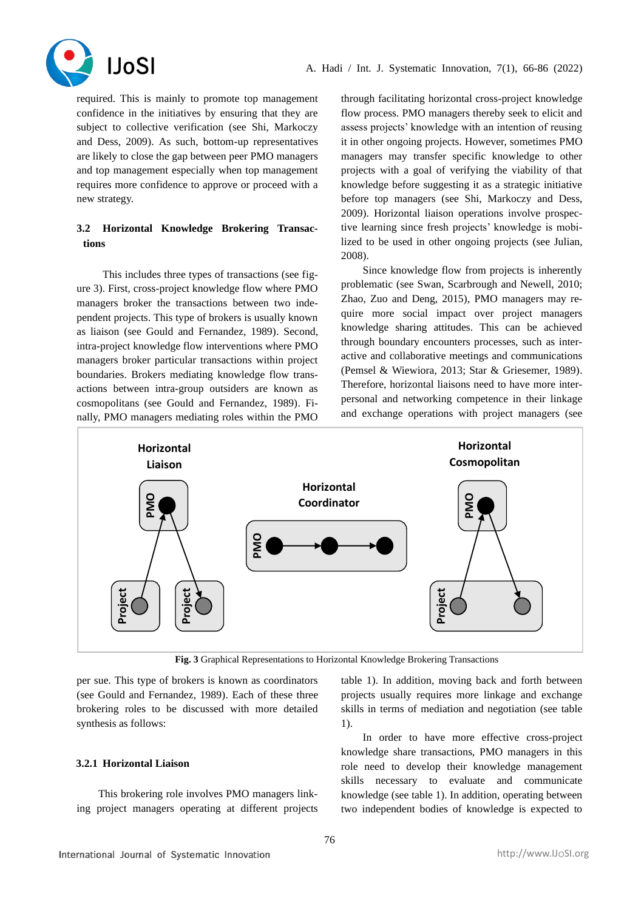

required. This is mainly to promote top management confidence in the initiatives by ensuring that they are subject to collective verification (see Shi, Markoczy and Dess, 2009). As such, bottom-up representatives are likely to close the gap between peer PMO managers and top management especially when top management requires more confidence to approve or proceed with a new strategy.

## **3.2 Horizontal Knowledge Brokering Transactions**

This includes three types of transactions (see figure 3). First, cross-project knowledge flow where PMO managers broker the transactions between two independent projects. This type of brokers is usually known as liaison (see Gould and Fernandez, 1989). Second, intra-project knowledge flow interventions where PMO managers broker particular transactions within project boundaries. Brokers mediating knowledge flow transactions between intra-group outsiders are known as cosmopolitans (see Gould and Fernandez, 1989). Finally, PMO managers mediating roles within the PMO

through facilitating horizontal cross-project knowledge flow process. PMO managers thereby seek to elicit and assess projects' knowledge with an intention of reusing it in other ongoing projects. However, sometimes PMO managers may transfer specific knowledge to other projects with a goal of verifying the viability of that knowledge before suggesting it as a strategic initiative before top managers (see Shi, Markoczy and Dess, 2009). Horizontal liaison operations involve prospective learning since fresh projects' knowledge is mobilized to be used in other ongoing projects (see Julian, 2008).

Since knowledge flow from projects is inherently problematic (see Swan, Scarbrough and Newell, 2010; Zhao, Zuo and Deng, 2015), PMO managers may require more social impact over project managers knowledge sharing attitudes. This can be achieved through boundary encounters processes, such as interactive and collaborative meetings and communications (Pemsel & Wiewiora, 2013; Star & Griesemer, 1989). Therefore, horizontal liaisons need to have more interpersonal and networking competence in their linkage and exchange operations with project managers (see



**Fig. 3** Graphical Representations to Horizontal Knowledge Brokering Transactions

per sue. This type of brokers is known as coordinators (see Gould and Fernandez, 1989). Each of these three brokering roles to be discussed with more detailed synthesis as follows:

## **3.2.1 Horizontal Liaison**

This brokering role involves PMO managers linking project managers operating at different projects table 1). In addition, moving back and forth between projects usually requires more linkage and exchange skills in terms of mediation and negotiation (see table 1).

In order to have more effective cross-project knowledge share transactions, PMO managers in this role need to develop their knowledge management skills necessary to evaluate and communicate knowledge (see table 1). In addition, operating between two independent bodies of knowledge is expected to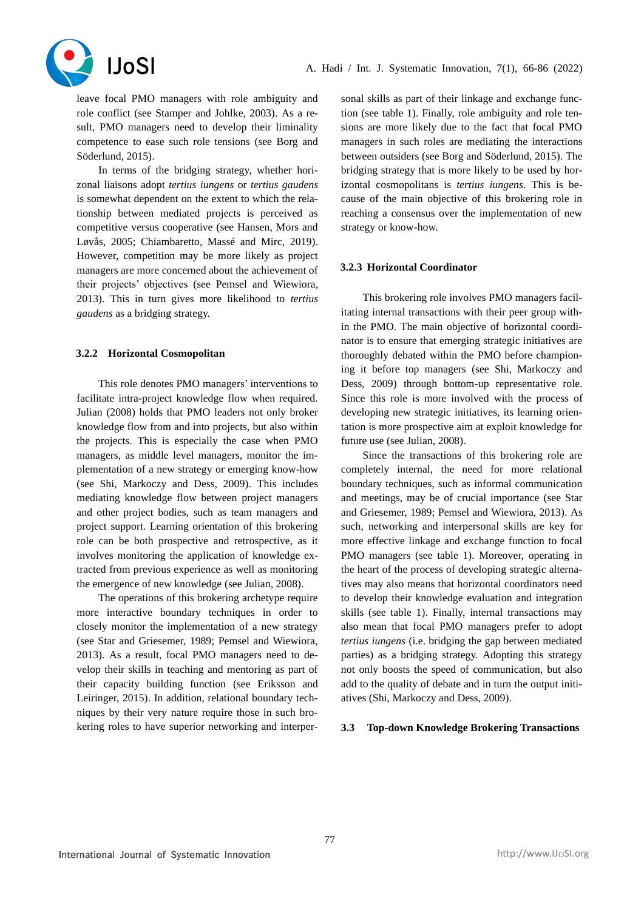

leave focal PMO managers with role ambiguity and role conflict (see Stamper and Johlke, 2003). As a result, PMO managers need to develop their liminality competence to ease such role tensions (see Borg and Söderlund, 2015).

In terms of the bridging strategy, whether horizonal liaisons adopt *tertius iungens* or *tertius gaudens*  is somewhat dependent on the extent to which the relationship between mediated projects is perceived as competitive versus cooperative (see Hansen, Mors and Løvås, 2005; Chiambaretto, Massé and Mirc, 2019). However, competition may be more likely as project managers are more concerned about the achievement of their projects' objectives (see Pemsel and Wiewiora, 2013). This in turn gives more likelihood to *tertius gaudens* as a bridging strategy.

## **3.2.2 Horizontal Cosmopolitan**

This role denotes PMO managers' interventions to facilitate intra-project knowledge flow when required. Julian (2008) holds that PMO leaders not only broker knowledge flow from and into projects, but also within the projects. This is especially the case when PMO managers, as middle level managers, monitor the implementation of a new strategy or emerging know-how (see Shi, Markoczy and Dess, 2009). This includes mediating knowledge flow between project managers and other project bodies, such as team managers and project support. Learning orientation of this brokering role can be both prospective and retrospective, as it involves monitoring the application of knowledge extracted from previous experience as well as monitoring the emergence of new knowledge (see Julian, 2008).

The operations of this brokering archetype require more interactive boundary techniques in order to closely monitor the implementation of a new strategy (see Star and Griesemer, 1989; Pemsel and Wiewiora, 2013). As a result, focal PMO managers need to develop their skills in teaching and mentoring as part of their capacity building function (see Eriksson and Leiringer, 2015). In addition, relational boundary techniques by their very nature require those in such brokering roles to have superior networking and interpersonal skills as part of their linkage and exchange function (see table 1). Finally, role ambiguity and role tensions are more likely due to the fact that focal PMO managers in such roles are mediating the interactions between outsiders (see Borg and Söderlund, 2015). The bridging strategy that is more likely to be used by horizontal cosmopolitans is *tertius iungens*. This is because of the main objective of this brokering role in reaching a consensus over the implementation of new strategy or know-how.

## **3.2.3 Horizontal Coordinator**

This brokering role involves PMO managers facilitating internal transactions with their peer group within the PMO. The main objective of horizontal coordinator is to ensure that emerging strategic initiatives are thoroughly debated within the PMO before championing it before top managers (see Shi, Markoczy and Dess, 2009) through bottom-up representative role. Since this role is more involved with the process of developing new strategic initiatives, its learning orientation is more prospective aim at exploit knowledge for future use (see Julian, 2008).

Since the transactions of this brokering role are completely internal, the need for more relational boundary techniques, such as informal communication and meetings, may be of crucial importance (see Star and Griesemer, 1989; Pemsel and Wiewiora, 2013). As such, networking and interpersonal skills are key for more effective linkage and exchange function to focal PMO managers (see table 1). Moreover, operating in the heart of the process of developing strategic alternatives may also means that horizontal coordinators need to develop their knowledge evaluation and integration skills (see table 1). Finally, internal transactions may also mean that focal PMO managers prefer to adopt *tertius iungens* (i.e. bridging the gap between mediated parties) as a bridging strategy. Adopting this strategy not only boosts the speed of communication, but also add to the quality of debate and in turn the output initiatives (Shi, Markoczy and Dess, 2009).

## **3.3 Top-down Knowledge Brokering Transactions**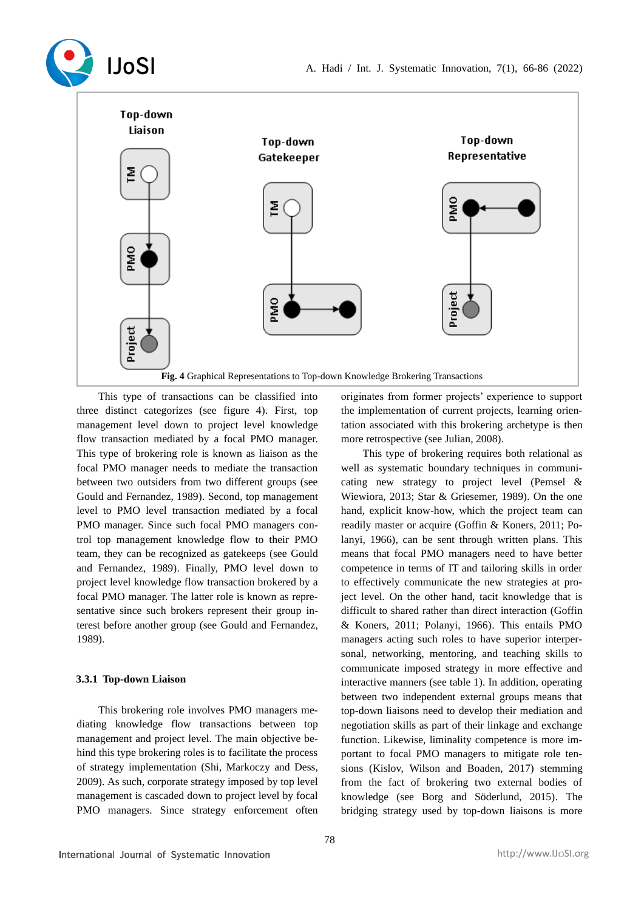



This type of transactions can be classified into three distinct categorizes (see figure 4). First, top management level down to project level knowledge flow transaction mediated by a focal PMO manager. This type of brokering role is known as liaison as the focal PMO manager needs to mediate the transaction between two outsiders from two different groups (see Gould and Fernandez, 1989). Second, top management level to PMO level transaction mediated by a focal PMO manager. Since such focal PMO managers control top management knowledge flow to their PMO team, they can be recognized as gatekeeps (see Gould and Fernandez, 1989). Finally, PMO level down to project level knowledge flow transaction brokered by a focal PMO manager. The latter role is known as representative since such brokers represent their group interest before another group (see Gould and Fernandez, 1989).

## **3.3.1 Top-down Liaison**

This brokering role involves PMO managers mediating knowledge flow transactions between top management and project level. The main objective behind this type brokering roles is to facilitate the process of strategy implementation (Shi, Markoczy and Dess, 2009). As such, corporate strategy imposed by top level management is cascaded down to project level by focal PMO managers. Since strategy enforcement often originates from former projects' experience to support the implementation of current projects, learning orientation associated with this brokering archetype is then more retrospective (see Julian, 2008).

This type of brokering requires both relational as well as systematic boundary techniques in communicating new strategy to project level (Pemsel & Wiewiora, 2013; Star & Griesemer, 1989). On the one hand, explicit know-how, which the project team can readily master or acquire (Goffin & Koners, 2011; Polanyi, 1966), can be sent through written plans. This means that focal PMO managers need to have better competence in terms of IT and tailoring skills in order to effectively communicate the new strategies at project level. On the other hand, tacit knowledge that is difficult to shared rather than direct interaction (Goffin & Koners, 2011; Polanyi, 1966). This entails PMO managers acting such roles to have superior interpersonal, networking, mentoring, and teaching skills to communicate imposed strategy in more effective and interactive manners (see table 1). In addition, operating between two independent external groups means that top-down liaisons need to develop their mediation and negotiation skills as part of their linkage and exchange function. Likewise, liminality competence is more important to focal PMO managers to mitigate role tensions (Kislov, Wilson and Boaden, 2017) stemming from the fact of brokering two external bodies of knowledge (see Borg and Söderlund, 2015). The bridging strategy used by top-down liaisons is more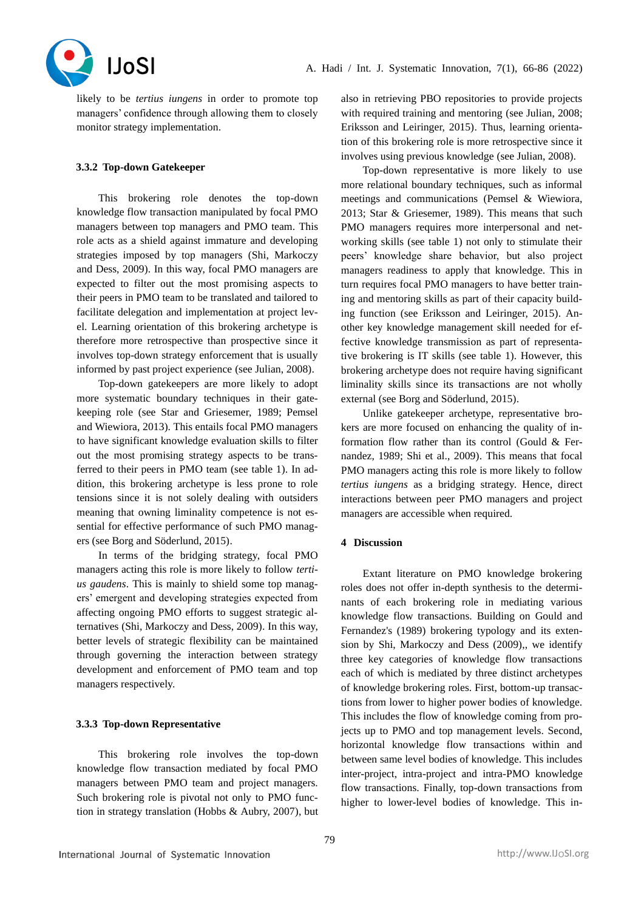

likely to be *tertius iungens* in order to promote top managers' confidence through allowing them to closely monitor strategy implementation.

## **3.3.2 Top-down Gatekeeper**

This brokering role denotes the top-down knowledge flow transaction manipulated by focal PMO managers between top managers and PMO team. This role acts as a shield against immature and developing strategies imposed by top managers (Shi, Markoczy and Dess, 2009). In this way, focal PMO managers are expected to filter out the most promising aspects to their peers in PMO team to be translated and tailored to facilitate delegation and implementation at project level. Learning orientation of this brokering archetype is therefore more retrospective than prospective since it involves top-down strategy enforcement that is usually informed by past project experience (see Julian, 2008).

Top-down gatekeepers are more likely to adopt more systematic boundary techniques in their gatekeeping role (see Star and Griesemer, 1989; Pemsel and Wiewiora, 2013). This entails focal PMO managers to have significant knowledge evaluation skills to filter out the most promising strategy aspects to be transferred to their peers in PMO team (see table 1). In addition, this brokering archetype is less prone to role tensions since it is not solely dealing with outsiders meaning that owning liminality competence is not essential for effective performance of such PMO managers (see Borg and Söderlund, 2015).

In terms of the bridging strategy, focal PMO managers acting this role is more likely to follow *tertius gaudens*. This is mainly to shield some top managers' emergent and developing strategies expected from affecting ongoing PMO efforts to suggest strategic alternatives (Shi, Markoczy and Dess, 2009). In this way, better levels of strategic flexibility can be maintained through governing the interaction between strategy development and enforcement of PMO team and top managers respectively.

## **3.3.3 Top-down Representative**

This brokering role involves the top-down knowledge flow transaction mediated by focal PMO managers between PMO team and project managers. Such brokering role is pivotal not only to PMO function in strategy translation (Hobbs & Aubry, 2007), but also in retrieving PBO repositories to provide projects with required training and mentoring (see Julian, 2008; Eriksson and Leiringer, 2015). Thus, learning orientation of this brokering role is more retrospective since it involves using previous knowledge (see Julian, 2008).

Top-down representative is more likely to use more relational boundary techniques, such as informal meetings and communications (Pemsel & Wiewiora, 2013; Star & Griesemer, 1989). This means that such PMO managers requires more interpersonal and networking skills (see table 1) not only to stimulate their peers' knowledge share behavior, but also project managers readiness to apply that knowledge. This in turn requires focal PMO managers to have better training and mentoring skills as part of their capacity building function (see Eriksson and Leiringer, 2015). Another key knowledge management skill needed for effective knowledge transmission as part of representative brokering is IT skills (see table 1). However, this brokering archetype does not require having significant liminality skills since its transactions are not wholly external (see Borg and Söderlund, 2015).

Unlike gatekeeper archetype, representative brokers are more focused on enhancing the quality of information flow rather than its control (Gould & Fernandez, 1989; Shi et al., 2009). This means that focal PMO managers acting this role is more likely to follow *tertius iungens* as a bridging strategy. Hence, direct interactions between peer PMO managers and project managers are accessible when required.

#### **4 Discussion**

Extant literature on PMO knowledge brokering roles does not offer in-depth synthesis to the determinants of each brokering role in mediating various knowledge flow transactions. Building on Gould and Fernandez's (1989) brokering typology and its extension by Shi, Markoczy and Dess (2009),, we identify three key categories of knowledge flow transactions each of which is mediated by three distinct archetypes of knowledge brokering roles. First, bottom-up transactions from lower to higher power bodies of knowledge. This includes the flow of knowledge coming from projects up to PMO and top management levels. Second, horizontal knowledge flow transactions within and between same level bodies of knowledge. This includes inter-project, intra-project and intra-PMO knowledge flow transactions. Finally, top-down transactions from higher to lower-level bodies of knowledge. This in-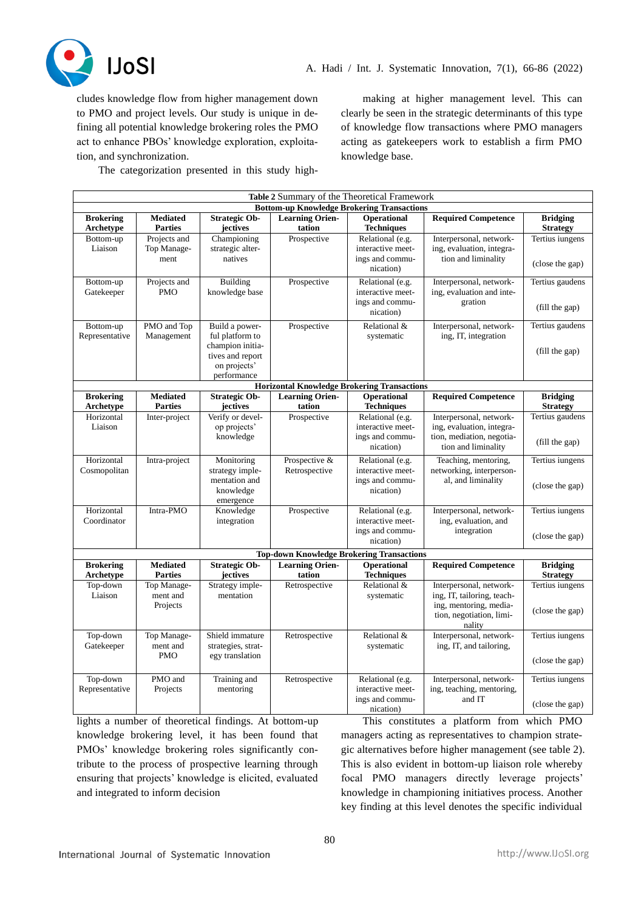

cludes knowledge flow from higher management down to PMO and project levels. Our study is unique in defining all potential knowledge brokering roles the PMO act to enhance PBOs' knowledge exploration, exploitation, and synchronization.

making at higher management level. This can clearly be seen in the strategic determinants of this type of knowledge flow transactions where PMO managers acting as gatekeepers work to establish a firm PMO knowledge base.

The categorization presented in this study high-

| Table 2 Summary of the Theoretical Framework       |                                       |                                                                                                          |                                  |                                                                       |                                                                                                                       |                                    |
|----------------------------------------------------|---------------------------------------|----------------------------------------------------------------------------------------------------------|----------------------------------|-----------------------------------------------------------------------|-----------------------------------------------------------------------------------------------------------------------|------------------------------------|
| <b>Bottom-up Knowledge Brokering Transactions</b>  |                                       |                                                                                                          |                                  |                                                                       |                                                                                                                       |                                    |
| <b>Brokering</b><br>Archetype                      | <b>Mediated</b><br><b>Parties</b>     | <b>Strategic Ob-</b><br>jectives                                                                         | <b>Learning Orien-</b><br>tation | <b>Operational</b><br><b>Techniques</b>                               | <b>Required Competence</b>                                                                                            | <b>Bridging</b><br><b>Strategy</b> |
| Bottom-up<br>Liaison                               | Projects and<br>Top Manage-<br>ment   | Championing<br>strategic alter-<br>natives                                                               | Prospective                      | Relational (e.g.<br>interactive meet-<br>ings and commu-<br>nication) | Interpersonal, network-<br>ing, evaluation, integra-<br>tion and liminality                                           | Tertius iungens<br>(close the gap) |
| Bottom-up<br>Gatekeeper                            | Projects and<br><b>PMO</b>            | Building<br>knowledge base                                                                               | Prospective                      | Relational (e.g.<br>interactive meet-<br>ings and commu-<br>nication) | Interpersonal, network-<br>ing, evaluation and inte-<br>gration                                                       | Tertius gaudens<br>(fill the gap)  |
| Bottom-up<br>Representative                        | PMO and Top<br>Management             | Build a power-<br>ful platform to<br>champion initia-<br>tives and report<br>on projects'<br>performance | Prospective                      | Relational &<br>systematic                                            | Interpersonal, network-<br>ing, IT, integration                                                                       | Tertius gaudens<br>(fill the gap)  |
| <b>Horizontal Knowledge Brokering Transactions</b> |                                       |                                                                                                          |                                  |                                                                       |                                                                                                                       |                                    |
| <b>Brokering</b><br>Archetype                      | <b>Mediated</b><br><b>Parties</b>     | <b>Strategic Ob-</b><br>jectives                                                                         | <b>Learning Orien-</b><br>tation | <b>Operational</b><br>Techniques                                      | <b>Required Competence</b>                                                                                            | <b>Bridging</b><br><b>Strategy</b> |
| Horizontal<br>Liaison                              | Inter-project                         | Verify or devel-<br>op projects'<br>knowledge                                                            | Prospective                      | Relational (e.g.<br>interactive meet-<br>ings and commu-<br>nication) | Interpersonal, network-<br>ing, evaluation, integra-<br>tion, mediation, negotia-<br>tion and liminality              | Tertius gaudens<br>(fill the gap)  |
| Horizontal<br>Cosmopolitan                         | Intra-project                         | Monitoring<br>strategy imple-<br>mentation and<br>knowledge<br>emergence                                 | Prospective &<br>Retrospective   | Relational (e.g.<br>interactive meet-<br>ings and commu-<br>nication) | Teaching, mentoring,<br>networking, interperson-<br>al, and liminality                                                | Tertius iungens<br>(close the gap) |
| Horizontal<br>Coordinator                          | Intra-PMO                             | Knowledge<br>integration                                                                                 | Prospective                      | Relational (e.g.<br>interactive meet-<br>ings and commu-<br>nication) | Interpersonal, network-<br>ing, evaluation, and<br>integration                                                        | Tertius iungens<br>(close the gap) |
| <b>Top-down Knowledge Brokering Transactions</b>   |                                       |                                                                                                          |                                  |                                                                       |                                                                                                                       |                                    |
| <b>Brokering</b><br><b>Archetype</b>               | <b>Mediated</b><br><b>Parties</b>     | <b>Strategic Ob-</b><br>jectives                                                                         | <b>Learning Orien-</b><br>tation | <b>Operational</b><br><b>Techniques</b>                               | <b>Required Competence</b>                                                                                            | <b>Bridging</b><br><b>Strategy</b> |
| Top-down<br>Liaison                                | Top Manage-<br>ment and<br>Projects   | Strategy imple-<br>mentation                                                                             | Retrospective                    | Relational &<br>systematic                                            | Interpersonal, network-<br>ing, IT, tailoring, teach-<br>ing, mentoring, media-<br>tion, negotiation, limi-<br>nality | Tertius iungens<br>(close the gap) |
| Top-down<br>Gatekeeper                             | Top Manage-<br>ment and<br><b>PMO</b> | Shield immature<br>strategies, strat-<br>egy translation                                                 | Retrospective                    | Relational &<br>systematic                                            | Interpersonal, network-<br>ing, IT, and tailoring,                                                                    | Tertius iungens<br>(close the gap) |
| Top-down<br>Representative                         | PMO and<br>Projects                   | Training and<br>mentoring                                                                                | Retrospective                    | Relational (e.g.<br>interactive meet-<br>ings and commu-<br>nication) | Interpersonal, network-<br>ing, teaching, mentoring,<br>and IT                                                        | Tertius iungens<br>(close the gap) |

lights a number of theoretical findings. At bottom-up knowledge brokering level, it has been found that PMOs' knowledge brokering roles significantly contribute to the process of prospective learning through ensuring that projects' knowledge is elicited, evaluated and integrated to inform decision

This constitutes a platform from which PMO managers acting as representatives to champion strategic alternatives before higher management (see table 2). This is also evident in bottom-up liaison role whereby focal PMO managers directly leverage projects' knowledge in championing initiatives process. Another key finding at this level denotes the specific individual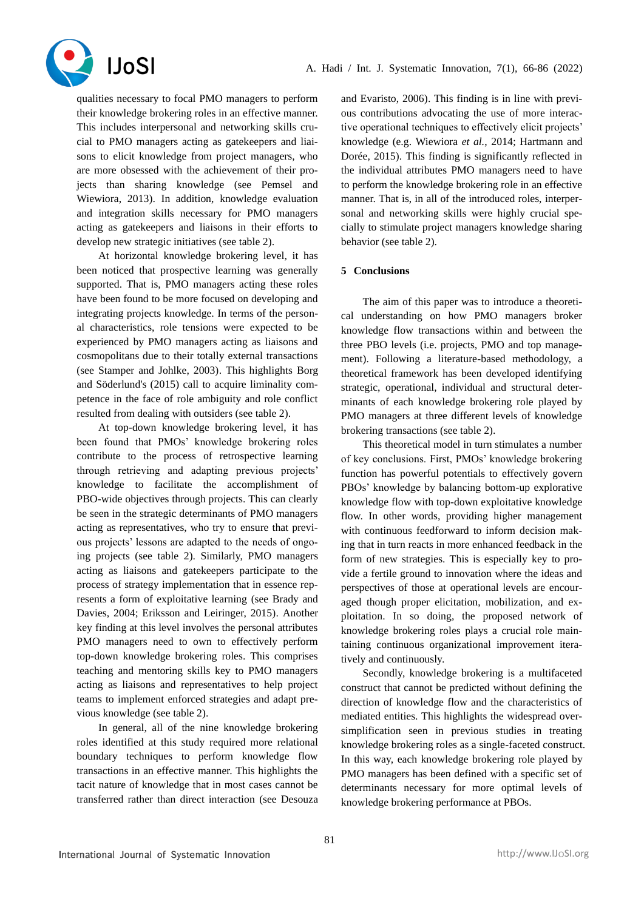

qualities necessary to focal PMO managers to perform their knowledge brokering roles in an effective manner. This includes interpersonal and networking skills crucial to PMO managers acting as gatekeepers and liaisons to elicit knowledge from project managers, who are more obsessed with the achievement of their projects than sharing knowledge (see Pemsel and Wiewiora, 2013). In addition, knowledge evaluation and integration skills necessary for PMO managers acting as gatekeepers and liaisons in their efforts to develop new strategic initiatives (see table 2).

At horizontal knowledge brokering level, it has been noticed that prospective learning was generally supported. That is, PMO managers acting these roles have been found to be more focused on developing and integrating projects knowledge. In terms of the personal characteristics, role tensions were expected to be experienced by PMO managers acting as liaisons and cosmopolitans due to their totally external transactions (see Stamper and Johlke, 2003). This highlights Borg and Söderlund's (2015) call to acquire liminality competence in the face of role ambiguity and role conflict resulted from dealing with outsiders (see table 2).

At top-down knowledge brokering level, it has been found that PMOs' knowledge brokering roles contribute to the process of retrospective learning through retrieving and adapting previous projects' knowledge to facilitate the accomplishment of PBO-wide objectives through projects. This can clearly be seen in the strategic determinants of PMO managers acting as representatives, who try to ensure that previous projects' lessons are adapted to the needs of ongoing projects (see table 2). Similarly, PMO managers acting as liaisons and gatekeepers participate to the process of strategy implementation that in essence represents a form of exploitative learning (see Brady and Davies, 2004; Eriksson and Leiringer, 2015). Another key finding at this level involves the personal attributes PMO managers need to own to effectively perform top-down knowledge brokering roles. This comprises teaching and mentoring skills key to PMO managers acting as liaisons and representatives to help project teams to implement enforced strategies and adapt previous knowledge (see table 2).

In general, all of the nine knowledge brokering roles identified at this study required more relational boundary techniques to perform knowledge flow transactions in an effective manner. This highlights the tacit nature of knowledge that in most cases cannot be transferred rather than direct interaction (see Desouza and Evaristo, 2006). This finding is in line with previous contributions advocating the use of more interactive operational techniques to effectively elicit projects' knowledge (e.g. Wiewiora *et al.*, 2014; Hartmann and Dorée, 2015). This finding is significantly reflected in the individual attributes PMO managers need to have to perform the knowledge brokering role in an effective manner. That is, in all of the introduced roles, interpersonal and networking skills were highly crucial specially to stimulate project managers knowledge sharing behavior (see table 2).

#### **5 Conclusions**

The aim of this paper was to introduce a theoretical understanding on how PMO managers broker knowledge flow transactions within and between the three PBO levels (i.e. projects, PMO and top management). Following a literature-based methodology, a theoretical framework has been developed identifying strategic, operational, individual and structural determinants of each knowledge brokering role played by PMO managers at three different levels of knowledge brokering transactions (see table 2).

This theoretical model in turn stimulates a number of key conclusions. First, PMOs' knowledge brokering function has powerful potentials to effectively govern PBOs' knowledge by balancing bottom-up explorative knowledge flow with top-down exploitative knowledge flow. In other words, providing higher management with continuous feedforward to inform decision making that in turn reacts in more enhanced feedback in the form of new strategies. This is especially key to provide a fertile ground to innovation where the ideas and perspectives of those at operational levels are encouraged though proper elicitation, mobilization, and exploitation. In so doing, the proposed network of knowledge brokering roles plays a crucial role maintaining continuous organizational improvement iteratively and continuously.

Secondly, knowledge brokering is a multifaceted construct that cannot be predicted without defining the direction of knowledge flow and the characteristics of mediated entities. This highlights the widespread oversimplification seen in previous studies in treating knowledge brokering roles as a single-faceted construct. In this way, each knowledge brokering role played by PMO managers has been defined with a specific set of determinants necessary for more optimal levels of knowledge brokering performance at PBOs.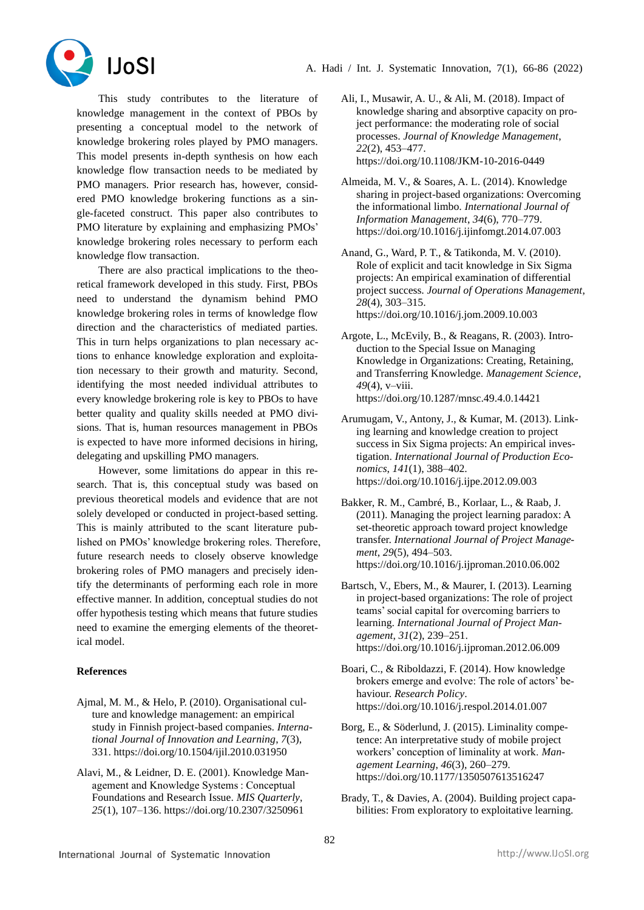



This study contributes to the literature of knowledge management in the context of PBOs by presenting a conceptual model to the network of knowledge brokering roles played by PMO managers. This model presents in-depth synthesis on how each knowledge flow transaction needs to be mediated by PMO managers. Prior research has, however, considered PMO knowledge brokering functions as a single-faceted construct. This paper also contributes to PMO literature by explaining and emphasizing PMOs' knowledge brokering roles necessary to perform each knowledge flow transaction.

There are also practical implications to the theoretical framework developed in this study. First, PBOs need to understand the dynamism behind PMO knowledge brokering roles in terms of knowledge flow direction and the characteristics of mediated parties. This in turn helps organizations to plan necessary actions to enhance knowledge exploration and exploitation necessary to their growth and maturity. Second, identifying the most needed individual attributes to every knowledge brokering role is key to PBOs to have better quality and quality skills needed at PMO divisions. That is, human resources management in PBOs is expected to have more informed decisions in hiring, delegating and upskilling PMO managers.

However, some limitations do appear in this research. That is, this conceptual study was based on previous theoretical models and evidence that are not solely developed or conducted in project-based setting. This is mainly attributed to the scant literature published on PMOs' knowledge brokering roles. Therefore, future research needs to closely observe knowledge brokering roles of PMO managers and precisely identify the determinants of performing each role in more effective manner. In addition, conceptual studies do not offer hypothesis testing which means that future studies need to examine the emerging elements of the theoretical model.

## **References**

- Ajmal, M. M., & Helo, P. (2010). Organisational culture and knowledge management: an empirical study in Finnish project-based companies. *International Journal of Innovation and Learning*, *7*(3), 331. https://doi.org/10.1504/ijil.2010.031950
- Alavi, M., & Leidner, D. E. (2001). Knowledge Management and Knowledge Systems : Conceptual Foundations and Research Issue. *MIS Quarterly*, *25*(1), 107–136. https://doi.org/10.2307/3250961
- Ali, I., Musawir, A. U., & Ali, M. (2018). Impact of knowledge sharing and absorptive capacity on project performance: the moderating role of social processes. *Journal of Knowledge Management*, *22*(2), 453–477. https://doi.org/10.1108/JKM-10-2016-0449
- Almeida, M. V., & Soares, A. L. (2014). Knowledge sharing in project-based organizations: Overcoming the informational limbo. *International Journal of Information Management*, *34*(6), 770–779. https://doi.org/10.1016/j.ijinfomgt.2014.07.003
- Anand, G., Ward, P. T., & Tatikonda, M. V. (2010). Role of explicit and tacit knowledge in Six Sigma projects: An empirical examination of differential project success. *Journal of Operations Management*, *28*(4), 303–315. https://doi.org/10.1016/j.jom.2009.10.003
- Argote, L., McEvily, B., & Reagans, R. (2003). Introduction to the Special Issue on Managing Knowledge in Organizations: Creating, Retaining, and Transferring Knowledge. *Management Science*, *49*(4), v–viii. https://doi.org/10.1287/mnsc.49.4.0.14421
- Arumugam, V., Antony, J., & Kumar, M. (2013). Linking learning and knowledge creation to project success in Six Sigma projects: An empirical investigation. *International Journal of Production Economics*, *141*(1), 388–402. https://doi.org/10.1016/j.ijpe.2012.09.003
- Bakker, R. M., Cambré, B., Korlaar, L., & Raab, J. (2011). Managing the project learning paradox: A set-theoretic approach toward project knowledge transfer. *International Journal of Project Management*, *29*(5), 494–503. https://doi.org/10.1016/j.ijproman.2010.06.002
- Bartsch, V., Ebers, M., & Maurer, I. (2013). Learning in project-based organizations: The role of project teams' social capital for overcoming barriers to learning. *International Journal of Project Management*, *31*(2), 239–251. https://doi.org/10.1016/j.ijproman.2012.06.009
- Boari, C., & Riboldazzi, F. (2014). How knowledge brokers emerge and evolve: The role of actors' behaviour. *Research Policy*. https://doi.org/10.1016/j.respol.2014.01.007
- Borg, E., & Söderlund, J. (2015). Liminality competence: An interpretative study of mobile project workers' conception of liminality at work. *Management Learning*, *46*(3), 260–279. https://doi.org/10.1177/1350507613516247
- Brady, T., & Davies, A. (2004). Building project capabilities: From exploratory to exploitative learning.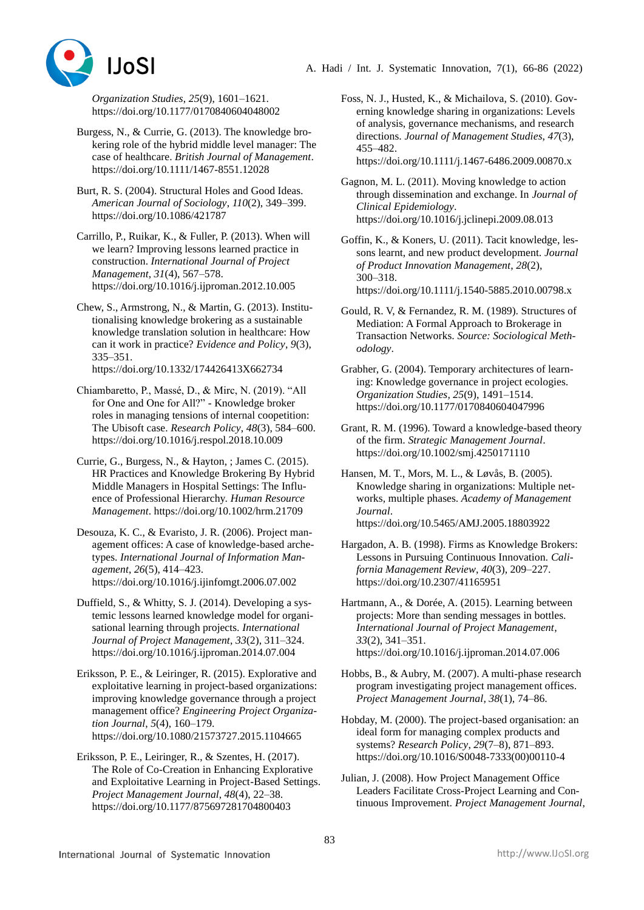



*Organization Studies*, *25*(9), 1601–1621. https://doi.org/10.1177/0170840604048002

- Burgess, N., & Currie, G. (2013). The knowledge brokering role of the hybrid middle level manager: The case of healthcare. *British Journal of Management*. https://doi.org/10.1111/1467-8551.12028
- Burt, R. S. (2004). Structural Holes and Good Ideas. *American Journal of Sociology*, *110*(2), 349–399. https://doi.org/10.1086/421787
- Carrillo, P., Ruikar, K., & Fuller, P. (2013). When will we learn? Improving lessons learned practice in construction. *International Journal of Project Management*, *31*(4), 567–578. https://doi.org/10.1016/j.ijproman.2012.10.005
- Chew, S., Armstrong, N., & Martin, G. (2013). Institutionalising knowledge brokering as a sustainable knowledge translation solution in healthcare: How can it work in practice? *Evidence and Policy*, *9*(3), 335–351. https://doi.org/10.1332/174426413X662734
- Chiambaretto, P., Massé, D., & Mirc, N. (2019). "All for One and One for All?" - Knowledge broker roles in managing tensions of internal coopetition: The Ubisoft case. *Research Policy*, *48*(3), 584–600. https://doi.org/10.1016/j.respol.2018.10.009
- Currie, G., Burgess, N., & Hayton, ; James C. (2015). HR Practices and Knowledge Brokering By Hybrid Middle Managers in Hospital Settings: The Influence of Professional Hierarchy. *Human Resource Management*. https://doi.org/10.1002/hrm.21709
- Desouza, K. C., & Evaristo, J. R. (2006). Project management offices: A case of knowledge-based archetypes. *International Journal of Information Management*, *26*(5), 414–423. https://doi.org/10.1016/j.ijinfomgt.2006.07.002
- Duffield, S., & Whitty, S. J. (2014). Developing a systemic lessons learned knowledge model for organisational learning through projects. *International Journal of Project Management*, *33*(2), 311–324. https://doi.org/10.1016/j.ijproman.2014.07.004

Eriksson, P. E., & Leiringer, R. (2015). Explorative and exploitative learning in project-based organizations: improving knowledge governance through a project management office? *Engineering Project Organization Journal*, *5*(4), 160–179. https://doi.org/10.1080/21573727.2015.1104665

Eriksson, P. E., Leiringer, R., & Szentes, H. (2017). The Role of Co-Creation in Enhancing Explorative and Exploitative Learning in Project-Based Settings. *Project Management Journal*, *48*(4), 22–38. https://doi.org/10.1177/875697281704800403

Foss, N. J., Husted, K., & Michailova, S. (2010). Governing knowledge sharing in organizations: Levels of analysis, governance mechanisms, and research directions. *Journal of Management Studies*, *47*(3), 455–482. https://doi.org/10.1111/j.1467-6486.2009.00870.x

Gagnon, M. L. (2011). Moving knowledge to action through dissemination and exchange. In *Journal of Clinical Epidemiology*. https://doi.org/10.1016/j.jclinepi.2009.08.013

Goffin, K., & Koners, U. (2011). Tacit knowledge, lessons learnt, and new product development. *Journal of Product Innovation Management*, *28*(2), 300–318. https://doi.org/10.1111/j.1540-5885.2010.00798.x

Gould, R. V, & Fernandez, R. M. (1989). Structures of Mediation: A Formal Approach to Brokerage in Transaction Networks. *Source: Sociological Methodology*.

Grabher, G. (2004). Temporary architectures of learning: Knowledge governance in project ecologies. *Organization Studies*, *25*(9), 1491–1514. https://doi.org/10.1177/0170840604047996

- Grant, R. M. (1996). Toward a knowledge-based theory of the firm. *Strategic Management Journal*. https://doi.org/10.1002/smj.4250171110
- Hansen, M. T., Mors, M. L., & Løvås, B. (2005). Knowledge sharing in organizations: Multiple networks, multiple phases. *Academy of Management Journal*. https://doi.org/10.5465/AMJ.2005.18803922
- Hargadon, A. B. (1998). Firms as Knowledge Brokers: Lessons in Pursuing Continuous Innovation. *California Management Review*, *40*(3), 209–227. https://doi.org/10.2307/41165951

Hartmann, A., & Dorée, A. (2015). Learning between projects: More than sending messages in bottles. *International Journal of Project Management*, *33*(2), 341–351. https://doi.org/10.1016/j.ijproman.2014.07.006

Hobbs, B., & Aubry, M. (2007). A multi-phase research program investigating project management offices. *Project Management Journal*, *38*(1), 74–86.

Hobday, M. (2000). The project-based organisation: an ideal form for managing complex products and systems? *Research Policy*, *29*(7–8), 871–893. https://doi.org/10.1016/S0048-7333(00)00110-4

Julian, J. (2008). How Project Management Office Leaders Facilitate Cross-Project Learning and Continuous Improvement. *Project Management Journal*,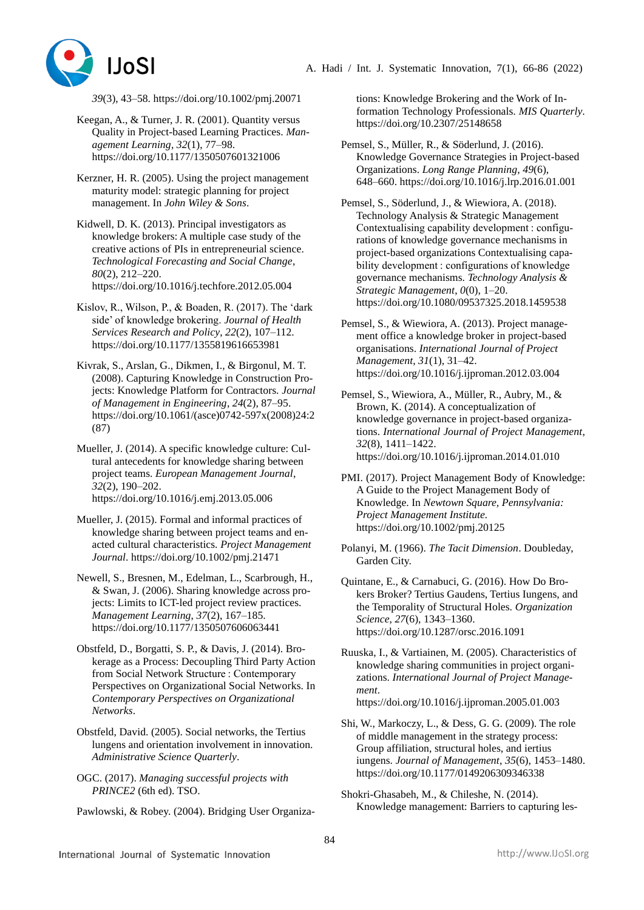

*39*(3), 43–58. https://doi.org/10.1002/pmj.20071

- Keegan, A., & Turner, J. R. (2001). Quantity versus Quality in Project-based Learning Practices. *Management Learning*, *32*(1), 77–98. https://doi.org/10.1177/1350507601321006
- Kerzner, H. R. (2005). Using the project management maturity model: strategic planning for project management. In *John Wiley & Sons*.
- Kidwell, D. K. (2013). Principal investigators as knowledge brokers: A multiple case study of the creative actions of PIs in entrepreneurial science. *Technological Forecasting and Social Change*, *80*(2), 212–220. https://doi.org/10.1016/j.techfore.2012.05.004
- Kislov, R., Wilson, P., & Boaden, R. (2017). The 'dark side' of knowledge brokering. *Journal of Health Services Research and Policy*, *22*(2), 107–112. https://doi.org/10.1177/1355819616653981
- Kivrak, S., Arslan, G., Dikmen, I., & Birgonul, M. T. (2008). Capturing Knowledge in Construction Projects: Knowledge Platform for Contractors. *Journal of Management in Engineering*, *24*(2), 87–95. https://doi.org/10.1061/(asce)0742-597x(2008)24:2 (87)
- Mueller, J. (2014). A specific knowledge culture: Cultural antecedents for knowledge sharing between project teams. *European Management Journal*, *32*(2), 190–202. https://doi.org/10.1016/j.emj.2013.05.006
- Mueller, J. (2015). Formal and informal practices of knowledge sharing between project teams and enacted cultural characteristics. *Project Management Journal*. https://doi.org/10.1002/pmj.21471
- Newell, S., Bresnen, M., Edelman, L., Scarbrough, H., & Swan, J. (2006). Sharing knowledge across projects: Limits to ICT-led project review practices. *Management Learning*, *37*(2), 167–185. https://doi.org/10.1177/1350507606063441
- Obstfeld, D., Borgatti, S. P., & Davis, J. (2014). Brokerage as a Process: Decoupling Third Party Action from Social Network Structure : Contemporary Perspectives on Organizational Social Networks. In *Contemporary Perspectives on Organizational Networks*.
- Obstfeld, David. (2005). Social networks, the Tertius lungens and orientation involvement in innovation. *Administrative Science Quarterly*.
- OGC. (2017). *Managing successful projects with PRINCE2* (6th ed). TSO.
- Pawlowski, & Robey. (2004). Bridging User Organiza-

tions: Knowledge Brokering and the Work of Information Technology Professionals. *MIS Quarterly*. https://doi.org/10.2307/25148658

- Pemsel, S., Müller, R., & Söderlund, J. (2016). Knowledge Governance Strategies in Project-based Organizations. *Long Range Planning*, *49*(6), 648–660. https://doi.org/10.1016/j.lrp.2016.01.001
- Pemsel, S., Söderlund, J., & Wiewiora, A. (2018). Technology Analysis & Strategic Management Contextualising capability development : configurations of knowledge governance mechanisms in project-based organizations Contextualising capability development : configurations of knowledge governance mechanisms. *Technology Analysis & Strategic Management*, *0*(0), 1–20. https://doi.org/10.1080/09537325.2018.1459538
- Pemsel, S., & Wiewiora, A. (2013). Project management office a knowledge broker in project-based organisations. *International Journal of Project Management*, *31*(1), 31–42. https://doi.org/10.1016/j.ijproman.2012.03.004
- Pemsel, S., Wiewiora, A., Müller, R., Aubry, M., & Brown, K. (2014). A conceptualization of knowledge governance in project-based organizations. *International Journal of Project Management*, *32*(8), 1411–1422. https://doi.org/10.1016/j.ijproman.2014.01.010
- PMI. (2017). Project Management Body of Knowledge: A Guide to the Project Management Body of Knowledge. In *Newtown Square, Pennsylvania: Project Management Institute.* https://doi.org/10.1002/pmj.20125
- Polanyi, M. (1966). *The Tacit Dimension*. Doubleday, Garden City.
- Quintane, E., & Carnabuci, G. (2016). How Do Brokers Broker? Tertius Gaudens, Tertius Iungens, and the Temporality of Structural Holes. *Organization Science*, *27*(6), 1343–1360. https://doi.org/10.1287/orsc.2016.1091
- Ruuska, I., & Vartiainen, M. (2005). Characteristics of knowledge sharing communities in project organizations. *International Journal of Project Management*. https://doi.org/10.1016/j.ijproman.2005.01.003
- Shi, W., Markoczy, L., & Dess, G. G. (2009). The role of middle management in the strategy process: Group affiliation, structural holes, and iertius iungens. *Journal of Management*, *35*(6), 1453–1480. https://doi.org/10.1177/0149206309346338
- Shokri-Ghasabeh, M., & Chileshe, N. (2014). Knowledge management: Barriers to capturing les-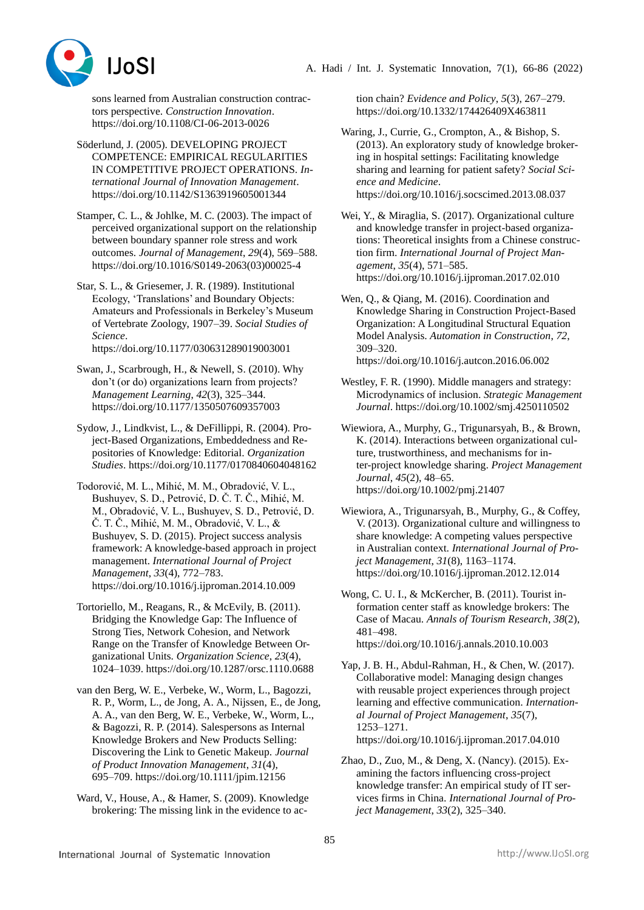

sons learned from Australian construction contractors perspective. *Construction Innovation*. https://doi.org/10.1108/CI-06-2013-0026

- Söderlund, J. (2005). DEVELOPING PROJECT COMPETENCE: EMPIRICAL REGULARITIES IN COMPETITIVE PROJECT OPERATIONS. *International Journal of Innovation Management*. https://doi.org/10.1142/S1363919605001344
- Stamper, C. L., & Johlke, M. C. (2003). The impact of perceived organizational support on the relationship between boundary spanner role stress and work outcomes. *Journal of Management*, *29*(4), 569–588. https://doi.org/10.1016/S0149-2063(03)00025-4
- Star, S. L., & Griesemer, J. R. (1989). Institutional Ecology, 'Translations' and Boundary Objects: Amateurs and Professionals in Berkeley's Museum of Vertebrate Zoology, 1907–39. *Social Studies of Science*.

https://doi.org/10.1177/030631289019003001

- Swan, J., Scarbrough, H., & Newell, S. (2010). Why don't (or do) organizations learn from projects? *Management Learning*, *42*(3), 325–344. https://doi.org/10.1177/1350507609357003
- Sydow, J., Lindkvist, L., & DeFillippi, R. (2004). Project-Based Organizations, Embeddedness and Repositories of Knowledge: Editorial. *Organization Studies*. https://doi.org/10.1177/0170840604048162
- Todorović, M. L., Mihić, M. M., Obradović, V. L., Bushuyev, S. D., Petrović, D. Č. T. Č., Mihić, M. M., Obradović, V. L., Bushuyev, S. D., Petrović, D. Č. T. Č., Mihić, M. M., Obradović, V. L., & Bushuyev, S. D. (2015). Project success analysis framework: A knowledge-based approach in project management. *International Journal of Project Management*, *33*(4), 772–783. https://doi.org/10.1016/j.ijproman.2014.10.009
- Tortoriello, M., Reagans, R., & McEvily, B. (2011). Bridging the Knowledge Gap: The Influence of Strong Ties, Network Cohesion, and Network Range on the Transfer of Knowledge Between Organizational Units. *Organization Science*, *23*(4), 1024–1039. https://doi.org/10.1287/orsc.1110.0688
- van den Berg, W. E., Verbeke, W., Worm, L., Bagozzi, R. P., Worm, L., de Jong, A. A., Nijssen, E., de Jong, A. A., van den Berg, W. E., Verbeke, W., Worm, L., & Bagozzi, R. P. (2014). Salespersons as Internal Knowledge Brokers and New Products Selling: Discovering the Link to Genetic Makeup. *Journal of Product Innovation Management*, *31*(4), 695–709. https://doi.org/10.1111/jpim.12156
- Ward, V., House, A., & Hamer, S. (2009). Knowledge brokering: The missing link in the evidence to ac-

tion chain? *Evidence and Policy*, *5*(3), 267–279. https://doi.org/10.1332/174426409X463811

- Waring, J., Currie, G., Crompton, A., & Bishop, S. (2013). An exploratory study of knowledge brokering in hospital settings: Facilitating knowledge sharing and learning for patient safety? *Social Science and Medicine*. https://doi.org/10.1016/j.socscimed.2013.08.037
- Wei, Y., & Miraglia, S. (2017). Organizational culture and knowledge transfer in project-based organizations: Theoretical insights from a Chinese construction firm. *International Journal of Project Management*, *35*(4), 571–585. https://doi.org/10.1016/j.ijproman.2017.02.010
- Wen, Q., & Qiang, M. (2016). Coordination and Knowledge Sharing in Construction Project-Based Organization: A Longitudinal Structural Equation Model Analysis. *Automation in Construction*, *72*, 309–320. https://doi.org/10.1016/j.autcon.2016.06.002
- Westley, F. R. (1990). Middle managers and strategy: Microdynamics of inclusion. *Strategic Management Journal*. https://doi.org/10.1002/smj.4250110502
- Wiewiora, A., Murphy, G., Trigunarsyah, B., & Brown, K. (2014). Interactions between organizational culture, trustworthiness, and mechanisms for inter-project knowledge sharing. *Project Management Journal*, *45*(2), 48–65. https://doi.org/10.1002/pmj.21407
- Wiewiora, A., Trigunarsyah, B., Murphy, G., & Coffey, V. (2013). Organizational culture and willingness to share knowledge: A competing values perspective in Australian context. *International Journal of Project Management*, *31*(8), 1163–1174. https://doi.org/10.1016/j.ijproman.2012.12.014
- Wong, C. U. I., & McKercher, B. (2011). Tourist information center staff as knowledge brokers: The Case of Macau. *Annals of Tourism Research*, *38*(2), 481–498. https://doi.org/10.1016/j.annals.2010.10.003
- Yap, J. B. H., Abdul-Rahman, H., & Chen, W. (2017). Collaborative model: Managing design changes with reusable project experiences through project learning and effective communication. *International Journal of Project Management*, *35*(7), 1253–1271. https://doi.org/10.1016/j.ijproman.2017.04.010
- Zhao, D., Zuo, M., & Deng, X. (Nancy). (2015). Examining the factors influencing cross-project knowledge transfer: An empirical study of IT services firms in China. *International Journal of Project Management*, *33*(2), 325–340.